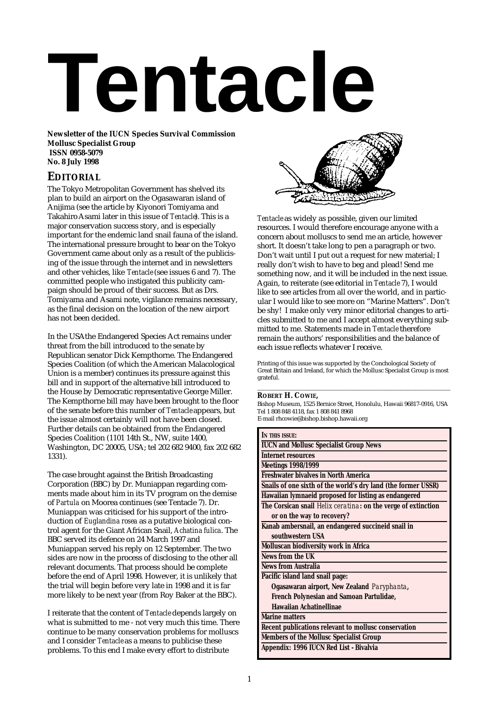# **Tentacle**

**Newsletter of the IUCN Species Survival Commission Mollusc Specialist Group ISSN 0958-5079 No. 8 July 1998**

# **EDITORIAL**

The Tokyo Metropolitan Government has shelved its plan to build an airport on the Ogasawaran island of Anijima (see the article by Kiyonori Tomiyama and TakahiroAsami later in this issue of *Tentacle*). This is a major conservation success story, and is especially important for the endemic land snail fauna of the island. The international pressure brought to bear on the Tokyo Government came about only as a result of the publicising of the issue through the internet and in newsletters and other vehicles, like *Tentacle*(see issues 6 and 7). The committed people who instigated this publicity campaign should be proud of their success. But as Drs. Tomiyama and Asami note, vigilance remains necessary, as the final decision on the location of the new airport has not been decided.

In the USAthe Endangered Species Act remains under threat from the bill introduced to the senate by Republican senator Dick Kempthorne. The Endangered Species Coalition (of which the American Malacological Union is a member) continues its pressure against this bill and in support of the alternative bill introduced to the House by Democratic representative George Miller. The Kempthorne bill may have been brought to the floor of the senate before this number of *Tentacle* appears, but the issue almost certainly will not have been closed. Further details can be obtained from the Endangered Species Coalition (1101 14th St., NW, suite 1400, Washington, DC 20005, USA; tel 202 682 9400, fax 202 682 1331).

The case brought against the British Broadcasting Corporation (BBC) by Dr. Muniappan regarding comments made about him in its TV program on the demise of *Partula* on Moorea continues (see Tentacle 7). Dr. Muniappan was criticised for his support of the introduction of *Euglandina rosea* as a putative biological control agent for the Giant African Snail, *Achatina fulica*. The BBC served its defence on 24 March 1997 and Muniappan served his reply on 12 September. The two sides are now in the process of disclosing to the other all relevant documents. That process should be complete before the end of April 1998. However, it is unlikely that the trial will begin before very late in 1998 and it is far more likely to be next year (from Roy Baker at the BBC).

I reiterate that the content of *Tentacle* depends largely on what is submitted to me - not very much this time. There continue to be many conservation problems for molluscs and I consider *Tentacle* as a means to publicise these problems. To this end I make every effort to distribute



*Tentacle* as widely as possible, given our limited resources. I would therefore encourage anyone with a concern about molluscs to send me an article, however short. It doesn't take long to pen a paragraph or two. Don't wait until I put out a request for new material; I really don't wish to have to beg and plead! Send me something now, and it will be included in the next issue. Again, to reiterate (see editorial in *Tentacle* 7), I would like to see articles from all over the world, and in particular I would like to see more on "Marine Matters". Don't be shy! I make only very minor editorial changes to articles submitted to me and I accept almost everything submitted to me. Statements made in *Tentacle* therefore remain the authors' responsibilities and the balance of each issue reflects whatever I receive.

Printing of this issue was supported by the Conchological Society of Great Britain and Ireland, for which the Mollusc Specialist Group is most grateful. \_\_\_\_\_\_\_\_\_\_\_\_\_\_\_\_\_\_\_\_\_\_\_\_\_\_\_\_\_\_\_\_\_\_\_\_\_\_\_\_\_\_\_\_\_\_

## **ROBERT H. COWIE,**

Bishop Museum, 1525 Bernice Street, Honolulu, Hawaii 96817-0916, USA Tel 1 808 848 4118, fax 1 808 841 8968 E-mail rhcowie@bishop.bishop.hawaii.org

| IN THIS ISSUE:                                                |
|---------------------------------------------------------------|
| <b>IUCN and Mollusc Specialist Group News</b>                 |
| <b>Internet resources</b>                                     |
| <b>Meetings 1998/1999</b>                                     |
| <b>Freshwater bivalves in North America</b>                   |
| Snails of one sixth of the world's dry land (the former USSR) |
| Hawaiian lymnaeid proposed for listing as endangered          |
| The Corsican snail Helix ceratina: on the verge of extinction |
| or on the way to recovery?                                    |
| Kanab ambersnail, an endangered succineid snail in            |
| southwestern USA                                              |
| Molluscan biodiversity work in Africa                         |
| News from the UK                                              |
| News from Australia                                           |
| Pacific island land snail page:                               |
| Ogasawaran airport, New Zealand Paryphanta,                   |
| French Polynesian and Samoan Partulidae,                      |
| <b>Hawaiian Achatinellinae</b>                                |
| <b>Marine matters</b>                                         |
| Recent publications relevant to mollusc conservation          |
| <b>Members of the Mollusc Specialist Group</b>                |
| Appendix: 1996 IUCN Red List - Bivalvia                       |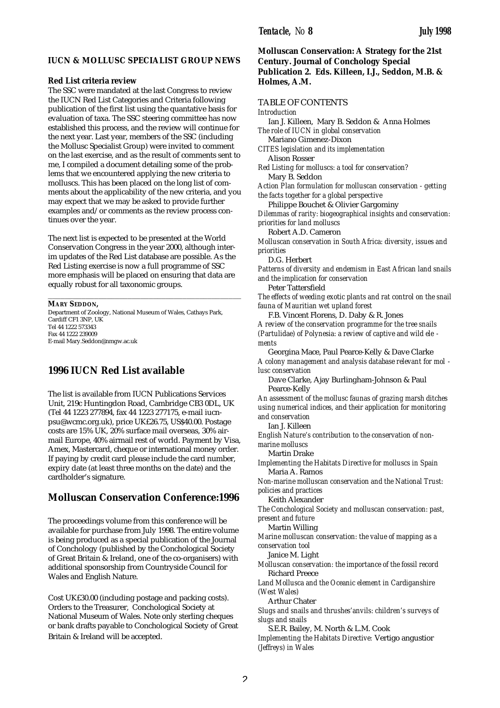# **IUCN & MOLLUSC SPECIALIST GROUP NEWS**

### **Red List criteria review**

The SSC were mandated at the last Congress to review the IUCN Red List Categories and Criteria following publication of the first list using the quantative basis for evaluation of taxa. The SSC steering committee has now established this process, and the review will continue for the next year. Last year, members of the SSC (including the Mollusc Specialist Group) were invited to comment on the last exercise, and as the result of comments sent to me, I compiled a document detailing some of the problems that we encountered applying the new criteria to molluscs. This has been placed on the long list of comments about the applicability of the new criteria, and you may expect that we may be asked to provide further examples and/or comments as the review process continues over the year.

The next list is expected to be presented at the World Conservation Congress in the year 2000, although interim updates of the Red List database are possible. As the Red Listing exercise is now a full programme of SSC more emphasis will be placed on ensuring that data are equally robust for all taxonomic groups.

\_\_\_\_\_\_\_\_\_\_\_\_\_\_\_\_\_\_\_\_\_\_\_\_\_\_\_\_\_\_\_\_\_\_\_\_\_\_\_\_\_\_\_\_\_\_

**MARY SEDDON,** Department of Zoology, National Museum of Wales, Cathays Park, Cardiff CF1 3NP, UK Tel 44 1222 573343 Fax 44 1222 239009 E-mail Mary.Seddon@nmgw.ac.uk

# **1996 IUCN Red List available**

The list is available from IUCN Publications Services Unit, 219c Huntingdon Road, Cambridge CB3 0DL, UK (Tel 44 1223 277894, fax 44 1223 277175, e-mail iucnpsu@wcmc.org.uk), price UK£26.75, US\$40.00. Postage costs are 15% UK, 20% surface mail overseas, 30% airmail Europe, 40% airmail rest of world. Payment by Visa, Amex, Mastercard, cheque or international money order. If paying by credit card please include the card number, expiry date (at least three months on the date) and the cardholder's signature.

# **Molluscan Conservation Conference:1996**

The proceedings volume from this conference will be available for purchase from July 1998. The entire volume is being produced as a special publication of the Journal of Conchology (published by the Conchological Society of Great Britain & Ireland, one of the co-organisers) with additional sponsorship from Countryside Council for Wales and English Nature.

Cost UK£30.00 (including postage and packing costs). Orders to the Treasurer, Conchological Society at National Museum of Wales. Note only sterling cheques or bank drafts payable to Conchological Society of Great Britain & Ireland will be accepted.

# **Molluscan Conservation: A Strategy for the 21st Century. Journal of Conchology Special Publication 2. Eds. Killeen, I.J., Seddon, M.B. & Holmes, A.M.**

# TABLE OF CONTENTS

*Introduction*

Ian J. Killeen, Mary B. Seddon & Anna Holmes *The role of IUCN in global conservation* Mariano Gimenez-Dixon

*CITES legislation and its implementation* Alison Rosser

*Red Listing for molluscs: a tool for conservation?* Mary B. Seddon

*Action Plan formulation for molluscan conservation - getting the facts together for a global perspective*

Philippe Bouchet & Olivier Gargominy

*Dilemmas of rarity: biogeographical insights and conservation: priorities for land molluscs*

Robert A.D. Cameron

*Molluscan conservation in South Africa: diversity, issues and priorities*

D.G. Herbert

*Patterns of diversity and endemism in East African land snails and the implication for conservation*

Peter Tattersfield

*The effects of weeding exotic plants and rat control on the snail fauna of Mauritian wet upland forest*

F.B. Vincent Florens, D. Daby & R. Jones

*A review of the conservation programme for the tree snails (Partulidae) of Polynesia: a review of captive and wild ele ments*

Georgina Mace, Paul Pearce-Kelly & Dave Clarke

*A colony management and analysis database relevant for mol lusc conservation*

Dave Clarke, Ajay Burlingham-Johnson & Paul Pearce-Kelly

*An assessment of the mollusc faunas of grazing marsh ditches using numerical indices, and their application for monitoring and conservation*

Ian J. Killeen

*English Nature's contribution to the conservation of nonmarine molluscs*

Martin Drake

*Implementing the Habitats Directive for molluscs in Spain* Maria A. Ramos

*Non-marine molluscan conservation and the National Trust: policies and practices*

### Keith Alexander

*The Conchological Society and molluscan conservation: past, present and future*

Martin Willing

*Marine molluscan conservation: the value of mapping as a conservation tool*

Janice M. Light

*Molluscan conservation: the importance of the fossil record* Richard Preece

*Land Mollusca and the Oceanic element in Cardiganshire (West Wales)*

Arthur Chater

*Slugs and snails and thrushes'anvils: children's surveys of slugs and snails*

S.E.R. Bailey, M. North & L.M. Cook

*Implementing the Habitats Directive:* Vertigo angustior *(Jeffreys) in Wales*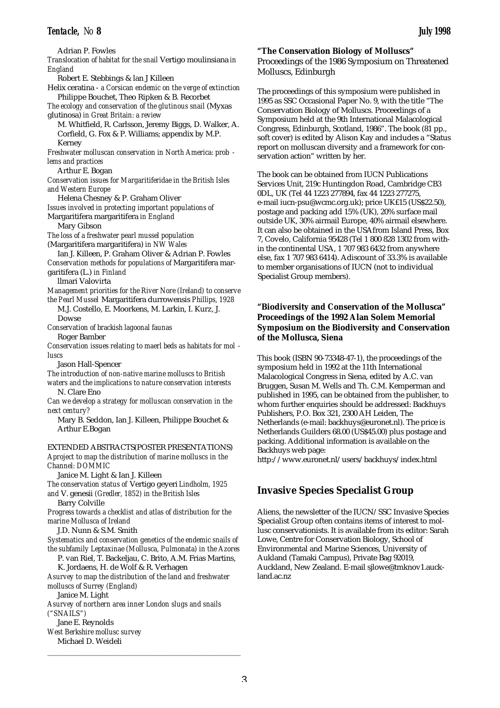Adrian P. Fowles

*Translocation of habitat for the snail* Vertigo moulinsiana *in England*

Robert E. Stebbings & lan J Killeen

Helix ceratina - *a Corsican endemic on the verge of extinction* Philippe Bouchet, Theo Ripken & B. Recorbet

*The ecology and conservation of the glutinous snail* (Myxas glutinosa) *in Great Britain: a review*

M. Whitfield, R. Carlsson, Jeremy Biggs, D. Walker, A. Corfield, G. Fox & P. Williams; appendix by M.P. Kerney

*Freshwater molluscan conservation in North America: prob lems and practices*

Arthur E. Bogan

*Conservation issues for Margaritiferidae in the British Isles and Western Europe*

Helena Chesney & P. Graham Oliver

*Issues involved in protecting important populations of* Margaritifera margaritifera *in England*

Mary Gibson

*The loss of a freshwater pearl mussel population*

(Margaritifera margaritifera) *in NW Wales*

Ian J. Killeen, P. Graham Oliver & Adrian P. Fowles *Conservation methods for populations of* Margaritifera margaritifera (L.) *in Finland*

llmari Valovirta

*Management priorities for the River Nore (Ireland) to conserve the Pearl Mussel* Margaritifera durrowensis *Phillips, 1928*

M.J. Costello, E. Moorkens, M. Larkin, I. Kurz, J. Dowse

*Conservation of brackish lagoonal faunas*

Roger Bamber

*Conservation issues relating to maerl beds as habitats for mol luscs*

Jason Hall-Spencer

*The introduction of non-native marine molluscs to British waters and the implications to nature conservation interests* N. Clare Eno

*Can we develop a strategy for molluscan conservation in the next century?*

Mary B. Seddon, Ian J. Killeen, Philippe Bouchet & Arthur E.Bogan

EXTENDED ABSTRACTS(POSTER PRESENTATIONS)

*Aproject to map the distribution of marine molluscs in the Channel: DOMMIC*

Janice M. Light & Ian J. Killeen

*The conservation status of* Vertigo geyeri *Lindholm, 1925 and* V. genesii *(Gredler, 1852) in the British Isles*

Barry Colville

*Progress towards a checklist and atlas of distribution for the marine Mollusca of Ireland*

## J.D. Nunn & S.M. Smith

*Systematics and conservation genetics of the endemic snails of the subfamily Leptaxinae (Mollusca, Pulmonata) in the Azores*

P. van Riel, T. Backeljau, C. Brito, A.M. Frias Martins,

K. Jordaens, H. de Wolf & R. Verhagen

*Asurvey to map the distribution of the land and freshwater molluscs of Surrey (England)*

\_\_\_\_\_\_\_\_\_\_\_\_\_\_\_\_\_\_\_\_\_\_\_\_\_\_\_\_\_\_\_\_\_\_\_\_\_\_\_\_\_\_\_\_\_\_

Janice M. Light

*Asurvey of northern area inner London slugs and snails ("SNAILS")*

Jane E. Reynolds *West Berkshire mollusc survey* Michael D. Weideli

# **"The Conservation Biology of Molluscs"** Proceedings of the 1986 Symposium on Threatened Molluscs, Edinburgh

The proceedings of this symposium were published in 1995 as SSC Occasional Paper No. 9, with the title "The Conservation Biology of Molluscs. Proceedings of a Symposium held at the 9th International Malacological Congress, Edinburgh, Scotland, 1986". The book (81 pp., soft cover) is edited by Alison Kay and includes a "Status report on molluscan diversity and a framework for conservation action" written by her.

The book can be obtained from IUCN Publications Services Unit, 219c Huntingdon Road, Cambridge CB3 0DL, UK (Tel 44 1223 277894, fax 44 1223 277275, e-mail iucn-psu@wcmc.org.uk); price UK£15 (US\$22.50), postage and packing add 15% (UK), 20% surface mail outside UK, 30% airmail Europe, 40% airmail elsewhere. It can also be obtained in the USAfrom Island Press, Box 7, Covelo, California 95428 (Tel 1 800 828 1302 from within the continental USA, 1 707 983 6432 from anywhere else, fax 1 707 983 6414). Adiscount of 33.3% is available to member organisations of IUCN (not to individual Specialist Group members).

# **"Biodiversity and Conservation of the Mollusca" Proceedings of the 1992 Alan Solem Memorial Symposium on the Biodiversity and Conservation of the Mollusca, Siena**

This book (ISBN 90-73348-47-1), the proceedings of the symposium held in 1992 at the 11th International Malacological Congress in Siena, edited by A.C. van Bruggen, Susan M. Wells and Th. C.M. Kemperman and published in 1995, can be obtained from the publisher, to whom further enquiries should be addressed: Backhuys Publishers, P.O. Box 321, 2300 AH Leiden, The Netherlands (e-mail: backhuys@euronet.nl). The price is Netherlands Guilders 68.00 (US\$45.00) plus postage and packing. Additional information is available on the Backhuys web page: http://www.euronet.nl/users/backhuys/index.html

**Invasive Species Specialist Group**

Aliens, the newsletter of the IUCN/SSC Invasive Species Specialist Group often contains items of interest to mollusc conservationists. It is available from its editor: Sarah Lowe, Centre for Conservation Biology, School of Environmental and Marine Sciences, University of Aukland (Tamaki Campus), Private Bag 92019, Auckland, New Zealand. E-mail sjlowe@tmknov1.auckland.ac.nz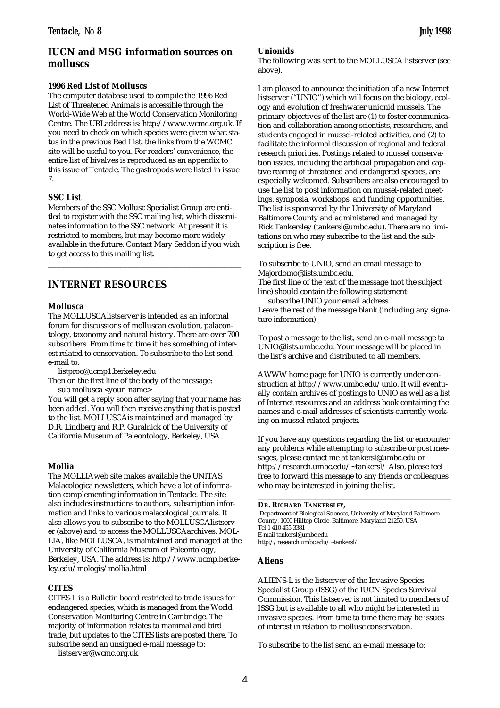# **IUCN and MSG information sources on molluscs**

# **1996 Red List of Molluscs**

The computer database used to compile the 1996 Red List of Threatened Animals is accessible through the World-Wide Web at the World Conservation Monitoring Centre. The URLaddress is: http://www.wcmc.org.uk. If you need to check on which species were given what status in the previous Red List, the links from the WCMC site will be useful to you. For readers' convenience, the entire list of bivalves is reproduced as an appendix to this issue of Tentacle. The gastropods were listed in issue 7.

# **SSC List**

Members of the SSC Mollusc Specialist Group are entitled to register with the SSC mailing list, which disseminates information to the SSC network. At present it is restricted to members, but may become more widely available in the future. Contact Mary Seddon if you wish to get access to this mailing list.

\_\_\_\_\_\_\_\_\_\_\_\_\_\_\_\_\_\_\_\_\_\_\_\_\_\_\_\_\_\_\_\_\_\_\_\_\_\_\_\_\_\_\_\_\_\_

# **INTERNET RESOURCES**

# **Mollusca**

The MOLLUSCAlistserver is intended as an informal forum for discussions of molluscan evolution, palaeontology, taxonomy and natural history. There are over 700 subscribers. From time to time it has something of interest related to conservation. To subscribe to the list send e-mail to:

listproc@ucmp1.berkeley.edu

Then on the first line of the body of the message: sub mollusca <your\_name>

You will get a reply soon after saying that your name has been added. You will then receive anything that is posted to the list. MOLLUSCAis maintained and managed by D.R. Lindberg and R.P. Guralnick of the University of California Museum of Paleontology, Berkeley, USA.

# **Mollia**

The MOLLIAweb site makes available the UNITAS Malacologica newsletters, which have a lot of information complementing information in Tentacle. The site also includes instructions to authors, subscription information and links to various malacological journals. It also allows you to subscribe to the MOLLUSCAlistserver (above) and to access the MOLLUSCAarchives. MOL-LIA, like MOLLUSCA, is maintained and managed at the University of California Museum of Paleontology, Berkeley, USA. The address is: http://www.ucmp.berkeley.edu/mologis/mollia.html

# **CITES**

CITES-L is a Bulletin board restricted to trade issues for endangered species, which is managed from the World Conservation Monitoring Centre in Cambridge. The majority of information relates to mammal and bird trade, but updates to the CITES lists are posted there. To subscribe send an unsigned e-mail message to:

listserver@wcmc.org.uk

# **Unionids**

The following was sent to the MOLLUSCA listserver (see above).

I am pleased to announce the initiation of a new Internet listserver ("UNIO") which will focus on the biology, ecology and evolution of freshwater unionid mussels. The primary objectives of the list are (1) to foster communication and collaboration among scientists, researchers, and students engaged in mussel-related activities, and (2) to facilitate the informal discussion of regional and federal research priorities. Postings related to mussel conservation issues, including the artificial propagation and captive rearing of threatened and endangered species, are especially welcomed. Subscribers are also encouraged to use the list to post information on mussel-related meetings, symposia, workshops, and funding opportunities. The list is sponsored by the University of Maryland Baltimore County and administered and managed by Rick Tankersley (tankersl@umbc.edu). There are no limitations on who may subscribe to the list and the subscription is free.

To subscribe to UNIO, send an email message to Majordomo@lists.umbc.edu.

The first line of the text of the message (not the subject line) should contain the following statement:

subscribe UNIO your email address Leave the rest of the message blank (including any signature information).

To post a message to the list, send an e-mail message to UNIO@lists.umbc.edu. Your message will be placed in the list's archive and distributed to all members.

AWWW home page for UNIO is currently under construction at http://www.umbc.edu/unio. It will eventually contain archives of postings to UNIO as well as a list of Internet resources and an address book containing the names and e-mail addresses of scientists currently working on mussel related projects.

If you have any questions regarding the list or encounter any problems while attempting to subscribe or post messages, please contact me at tankersl@umbc.edu or http://research.umbc.edu/~tankersl/ Also, please feel free to forward this message to any friends or colleagues who may be interested in joining the list.

\_\_\_\_\_\_\_\_\_\_\_\_\_\_\_\_\_\_\_\_\_\_\_\_\_\_\_\_\_\_\_\_\_\_\_\_\_\_\_\_\_\_\_\_\_\_

### **DR. RICHARD TANKERSLEY,**

Department of Biological Sciences, University of Maryland Baltimore County, 1000 Hilltop Circle, Baltimore, Maryland 21250, USA Tel 1 410 455-3381 E-mail tankersl@umbc.edu http://research.umbc.edu/~tankersl/

## **Aliens**

ALIENS-L is the listserver of the Invasive Species Specialist Group (ISSG) of the IUCN Species Survival Commission. This listserver is not limited to members of ISSG but is available to all who might be interested in invasive species. From time to time there may be issues of interest in relation to mollusc conservation.

To subscribe to the list send an e-mail message to: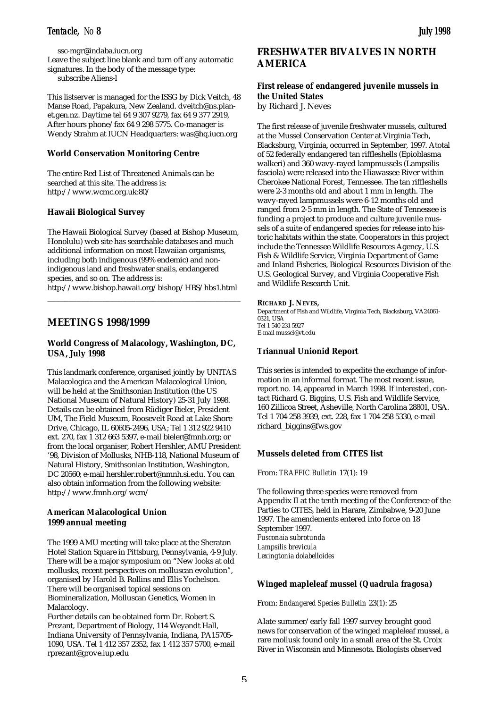ssc-mgr@indaba.iucn.org Leave the subject line blank and turn off any automatic signatures. In the body of the message type: subscribe Aliens-l

This listserver is managed for the ISSG by Dick Veitch, 48 Manse Road, Papakura, New Zealand. dveitch@ns.planet.gen.nz. Daytime tel 64 9 307 9279, fax 64 9 377 2919, After hours phone/fax 64 9 298 5775. Co-manager is Wendy Strahm at IUCN Headquarters: was@hq.iucn.org

# **World Conservation Monitoring Centre**

The entire Red List of Threatened Animals can be searched at this site. The address is: http://www.wcmc.org.uk:80/

# **Hawaii Biological Survey**

The Hawaii Biological Survey (based at Bishop Museum, Honolulu) web site has searchable databases and much additional information on most Hawaiian organisms, including both indigenous (99% endemic) and nonindigenous land and freshwater snails, endangered species, and so on. The address is: http://www.bishop.hawaii.org/bishop/HBS/hbs1.html

\_\_\_\_\_\_\_\_\_\_\_\_\_\_\_\_\_\_\_\_\_\_\_\_\_\_\_\_\_\_\_\_\_\_\_\_\_\_\_\_\_\_\_\_\_\_

# **MEETINGS 1998/1999**

# **World Congress of Malacology, Washington, DC, USA, July 1998**

This landmark conference, organised jointly by UNITAS Malacologica and the American Malacological Union, will be held at the Smithsonian Institution (the US National Museum of Natural History) 25-31 July 1998. Details can be obtained from Rüdiger Bieler, President UM, The Field Museum, Roosevelt Road at Lake Shore Drive, Chicago, IL 60605-2496, USA; Tel 1 312 922 9410 ext. 270, fax 1 312 663 5397, e-mail bieler@fmnh.org; or from the local organiser, Robert Hershler, AMU President '98, Division of Mollusks, NHB-118, National Museum of Natural History, Smithsonian Institution, Washington, DC 20560; e-mail hershler.robert@nmnh.si.edu. You can also obtain information from the following website: http://www.fmnh.org/wcm/

# **American Malacological Union 1999 annual meeting**

The 1999 AMU meeting will take place at the Sheraton Hotel Station Square in Pittsburg, Pennsylvania, 4-9 July. There will be a major symposium on "New looks at old mollusks, recent perspectives on molluscan evolution", organised by Harold B. Rollins and Ellis Yochelson. There will be organised topical sessions on Biomineralization, Molluscan Genetics, Women in Malacology.

Further details can be obtained form Dr. Robert S. Prezant, Department of Biology, 114 Weyandt Hall, Indiana University of Pennsylvania, Indiana, PA15705- 1090, USA. Tel 1 412 357 2352, fax 1 412 357 5700, e-mail rprezant@grove.iup.edu

# **FRESHWATER BIVALVES IN NORTH AMERICA**

# **First release of endangered juvenile mussels in the United States** by Richard J. Neves

The first release of juvenile freshwater mussels, cultured at the Mussel Conservation Center at Virginia Tech, Blacksburg, Virginia, occurred in September, 1997. Atotal of 52 federally endangered tan riffleshells (Epioblasma walkeri) and 360 wavy-rayed lampmussels (Lampsilis fasciola) were released into the Hiawassee River within Cherokee National Forest, Tennessee. The tan riffleshells were 2-3 months old and about 1 mm in length. The wavy-rayed lampmussels were 6-12 months old and ranged from 2-5 mm in length. The State of Tennessee is funding a project to produce and culture juvenile mussels of a suite of endangered species for release into historic habitats within the state. Cooperators in this project include the Tennessee Wildlife Resources Agency, U.S. Fish & Wildlife Service, Virginia Department of Game and Inland Fisheries, Biological Resources Division of the U.S. Geological Survey, and Virginia Cooperative Fish and Wildlife Research Unit.

# **RICHARD J. NEVES,**

Department of Fish and Wildlife, Virginia Tech, Blacksburg, VA24061- 0321, USA Tel 1 540 231 5927 E-mail mussel@vt.edu

# **Triannual Unionid Report**

This series is intended to expedite the exchange of information in an informal format. The most recent issue, report no. 14, appeared in March 1998. If interested, contact Richard G. Biggins, U.S. Fish and Wildlife Service, 160 Zillicoa Street, Asheville, North Carolina 28801, USA. Tel 1 704 258 3939, ext. 228, fax 1 704 258 5330, e-mail richard\_biggins@fws.gov

# **Mussels deleted from CITES list**

From: *TRAFFIC Bulletin* 17(1): 19

The following three species were removed from Appendix II at the tenth meeting of the Conference of the Parties to CITES, held in Harare, Zimbabwe, 9-20 June 1997. The amendements entered into force on 18 September 1997. *Fusconaia subrotunda Lampsilis brevicula Lexingtonia dolabelloides*

# **Winged mapleleaf mussel (***Quadrula fragosa***)**

From: *Endangered Species Bulletin* 23(1): 25

Alate summer/early fall 1997 survey brought good news for conservation of the winged mapleleaf mussel, a rare mollusk found only in a small area of the St. Croix River in Wisconsin and Minnesota. Biologists observed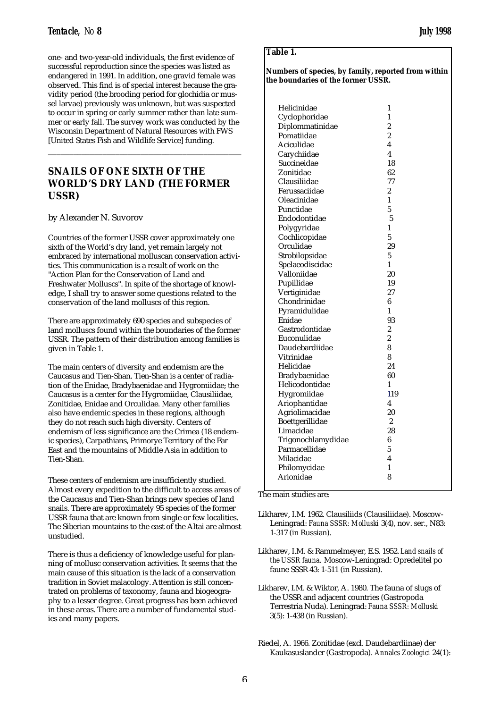one- and two-year-old individuals, the first evidence of successful reproduction since the species was listed as endangered in 1991. In addition, one gravid female was observed. This find is of special interest because the gravidity period (the brooding period for glochidia or mussel larvae) previously was unknown, but was suspected to occur in spring or early summer rather than late summer or early fall. The survey work was conducted by the Wisconsin Department of Natural Resources with FWS [United States Fish and Wildlife Service] funding.

\_\_\_\_\_\_\_\_\_\_\_\_\_\_\_\_\_\_\_\_\_\_\_\_\_\_\_\_\_\_\_\_\_\_\_\_\_\_\_\_\_\_\_\_\_\_

# **SNAILS OF ONE SIXTH OF THE WORLD'S DRY LAND (THE FORMER USSR)**

by Alexander N. Suvorov

Countries of the former USSR cover approximately one sixth of the World's dry land, yet remain largely not embraced by international molluscan conservation activities. This communication is a result of work on the "Action Plan for the Conservation of Land and Freshwater Molluscs". In spite of the shortage of knowledge, I shall try to answer some questions related to the conservation of the land molluscs of this region.

There are approximately 690 species and subspecies of land molluscs found within the boundaries of the former USSR. The pattern of their distribution among families is given in Table 1.

The main centers of diversity and endemism are the Caucasus and Tien-Shan. Tien-Shan is a center of radiation of the Enidae, Bradybaenidae and Hygromiidae; the Caucasus is a center for the Hygromiidae, Clausiliidae, Zonitidae, Enidae and Orculidae. Many other families also have endemic species in these regions, although they do not reach such high diversity. Centers of endemism of less significance are the Crimea (18 endemic species), Carpathians, Primorye Territory of the Far East and the mountains of Middle Asia in addition to Tien-Shan.

These centers of endemism are insufficiently studied. Almost every expedition to the difficult to access areas of the Caucasus and Tien-Shan brings new species of land snails. There are approximately 95 species of the former USSR fauna that are known from single or few localities. The Siberian mountains to the east of the Altai are almost unstudied.

There is thus a deficiency of knowledge useful for planning of mollusc conservation activities. It seems that the main cause of this situation is the lack of a conservation tradition in Soviet malacology. Attention is still concentrated on problems of taxonomy, fauna and biogeography to a lesser degree. Great progress has been achieved in these areas. There are a number of fundamental studies and many papers.

# **Table 1.**

**Numbers of species, by family, reported from within the boundaries of the former USSR.**

| Helicinidae        | 1                |
|--------------------|------------------|
| Cyclophoridae      | 1                |
| Diplommatinidae    | 2                |
| Pomatiidae         | $\overline{c}$   |
| Aciculidae         | 4                |
| Carychiidae        | 4                |
| Succineidae        | 18               |
| Zonitidae          | 62               |
| Clausiliidae       | 77               |
| Ferussaciidae      | $\boldsymbol{2}$ |
| Oleacinidae        | 1                |
| Punctidae          | 5                |
| Endodontidae       | 5                |
| Polygyridae        | 1                |
| Cochlicopidae      | 5                |
| Orculidae          | 29               |
| Strobilopsidae     | 5                |
| Spelaeodiscidae    | 1                |
| Valloniidae        | 20               |
| Pupillidae         | 19               |
| Vertiginidae       | 27               |
| Chondrinidae       | 6                |
| Pyramidulidae      | 1                |
| Enidae             | 93               |
| Gastrodontidae     | $\overline{c}$   |
| Euconulidae        | 2                |
| Daudebardiidae     | 8                |
| Vitrinidae         | 8                |
| Helicidae          | 24               |
| Bradybaenidae      | 60               |
| Helicodontidae     | 1                |
| Hygromiidae        | 119              |
| Ariophantidae      | 4                |
| Agriolimacidae     | 20               |
| Boettgerillidae    | 2                |
| Limacidae          | 28               |
| Trigonochlamydidae | 6                |
| Parmacellidae      | 5                |
| Milacidae          | 4                |
| Philomycidae       | 1                |
| Arionidae          | 8                |
|                    |                  |

The main studies are:

- Likharev, I.M. 1962. Clausiliids (Clausiliidae). Moscow-Leningrad: *Fauna SSSR: Molluski* 3(4), nov. ser., N83: 1-317 (in Russian).
- Likharev, I.M. & Rammelmeyer, E.S. 1952. *Land snails of the USSR fauna.* Moscow-Leningrad: Opredelitel po faune SSSR 43: 1-511 (in Russian).
- Likharev, I.M. & Wiktor, A. 1980. The fauna of slugs of the USSR and adjacent countries (Gastropoda Terrestria Nuda). Leningrad: *Fauna SSSR: Molluski* 3(5): 1-438 (in Russian).
- Riedel, A. 1966. Zonitidae (excl. Daudebardiinae) der Kaukasuslander (Gastropoda). *Annales Zoologici* 24(1):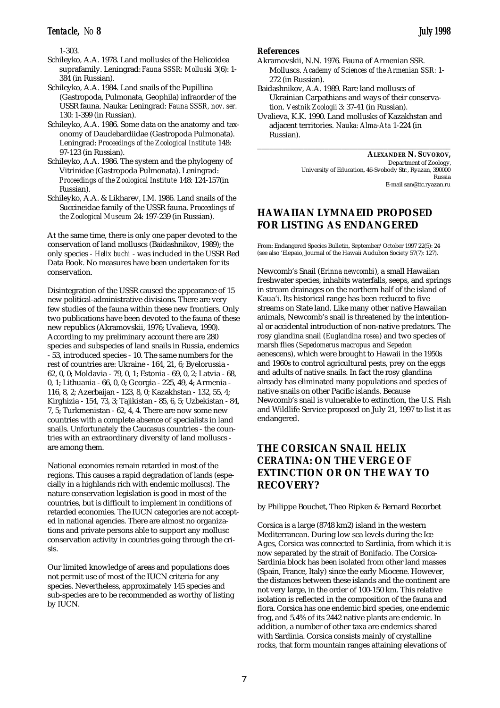1-303.

- Schileyko, A.A. 1978. Land mollusks of the Helicoidea suprafamily. Leningrad: *Fauna SSSR: Molluski* 3(6): 1- 384 (in Russian).
- Schileyko, A.A. 1984. Land snails of the Pupillina (Gastropoda, Pulmonata, Geophila) infraorder of the USSR fauna. Nauka: Leningrad: *Fauna SSSR, nov. ser.* 130: 1-399 (in Russian).
- Schileyko, A.A. 1986. Some data on the anatomy and taxonomy of Daudebardiidae (Gastropoda Pulmonata). Leningrad: *Proceedings of the Zoological Institute* 148: 97-123 (in Russian).
- Schileyko, A.A. 1986. The system and the phylogeny of Vitrinidae (Gastropoda Pulmonata). Leningrad: *Proceedings of the Zoological Institute* 148: 124-157(in Russian).
- Schileyko, A.A. & Likharev, I.M. 1986. Land snails of the Succineidae family of the USSR fauna. *Proceedings of the Zoological Museum* 24: 197-239 (in Russian).

At the same time, there is only one paper devoted to the conservation of land molluscs (Baidashnikov, 1989); the only species - *Helix buchi* - was included in the USSR Red Data Book. No measures have been undertaken for its conservation.

Disintegration of the USSR caused the appearance of 15 new political-administrative divisions. There are very few studies of the fauna within these new frontiers. Only two publications have been devoted to the fauna of these new republics (Akramovskii, 1976; Uvalieva, 1990). According to my preliminary account there are 280 species and subspecies of land snails in Russia, endemics - 53, introduced species - 10. The same numbers for the rest of countries are: Ukraine - 164, 21, 6; Byelorussia - 62, 0, 0; Moldavia - 79, 0, 1; Estonia - 69, 0, 2; Latvia - 68, 0, 1; Lithuania - 66, 0, 0; Georgia - 225, 49, 4; Armenia - 116, 8, 2; Azerbaijan - 123, 8, 0; Kazakhstan - 132, 55, 4; Kirghizia - 154, 73, 3; Tajikistan - 85, 6, 5; Uzbekistan - 84, 7, 5; Turkmenistan - 62, 4, 4. There are now some new countries with a complete absence of specialists in land snails. Unfortunately the Caucasus countries - the countries with an extraordinary diversity of land molluscs are among them.

National economies remain retarded in most of the regions. This causes a rapid degradation of lands (especially in a highlands rich with endemic molluscs). The nature conservation legislation is good in most of the countries, but is difficult to implement in conditions of retarded economies. The IUCN categories are not accepted in national agencies. There are almost no organizations and private persons able to support any mollusc conservation activity in countries going through the crisis.

Our limited knowledge of areas and populations does not permit use of most of the IUCN criteria for any species. Nevertheless, approximately 145 species and sub-species are to be recommended as worthy of listing by IUCN.

# **References**

- Akramovskii, N.N. 1976. Fauna of Armenian SSR. Molluscs. *Academy of Sciences of the Armenian SSR:* 1- 272 (in Russian).
- Baidashnikov, A.A. 1989. Rare land molluscs of Ukrainian Carpathians and ways of their conservation. *Vestnik Zoologii* 3: 37-41 (in Russian).
- Uvalieva, K.K. 1990. Land mollusks of Kazakhstan and adjacent territories. *Nauka: Alma-Ata* 1-224 (in Russian).

\_\_\_\_\_\_\_\_\_\_\_\_\_\_\_\_\_\_\_\_\_\_\_\_\_\_\_\_\_\_\_\_\_\_\_\_\_\_\_\_\_\_\_\_\_\_

**ALEXANDER N. SUVOROV,** Department of Zoology, University of Education, 46-Svobody Str., Ryazan, 390000 Russia E-mail san@ttc.ryazan.ru

# **HAWAIIAN LYMNAEID PROPOSED FOR LISTING AS ENDANGERED**

From: Endangered Species Bulletin, September/October 1997 22(5): 24 (see also 'Elepaio, Journal of the Hawaii Audubon Society 57(7): 127).

Newcomb's Snail (*Erinna newcombi*), a small Hawaiian freshwater species, inhabits waterfalls, seeps, and springs in stream drainages on the northern half of the island of Kaua'i. Its historical range has been reduced to five streams on State land. Like many other native Hawaiian animals, Newcomb's snail is threatened by the intentional or accidental introduction of non-native predators. The rosy glandina snail (*Euglandina rosea*) and two species of marsh flies (*Sepedomerus macropus* and *Sepedon* aenescens), which were brought to Hawaii in the 1950s and 1960s to control agricultural pests, prey on the eggs and adults of native snails. In fact the rosy glandina already has eliminated many populations and species of native snails on other Pacific islands. Because Newcomb's snail is vulnerable to extinction, the U.S. Fish and Wildlife Service proposed on July 21, 1997 to list it as endangered.

# **THE CORSICAN SNAIL** *HELIX CERATINA***: ON THE VERGE OF EXTINCTION OR ON THE WAY TO RECOVERY?**

by Philippe Bouchet, Theo Ripken & Bernard Recorbet

Corsica is a large (8748 km2) island in the western Mediterranean. During low sea levels during the Ice Ages, Corsica was connected to Sardinia, from which it is now separated by the strait of Bonifacio. The Corsica-Sardinia block has been isolated from other land masses (Spain, France, Italy) since the early Miocene. However, the distances between these islands and the continent are not very large, in the order of 100-150 km. This relative isolation is reflected in the composition of the fauna and flora. Corsica has one endemic bird species, one endemic frog, and 5.4% of its 2442 native plants are endemic. In addition, a number of other taxa are endemics shared with Sardinia. Corsica consists mainly of crystalline rocks, that form mountain ranges attaining elevations of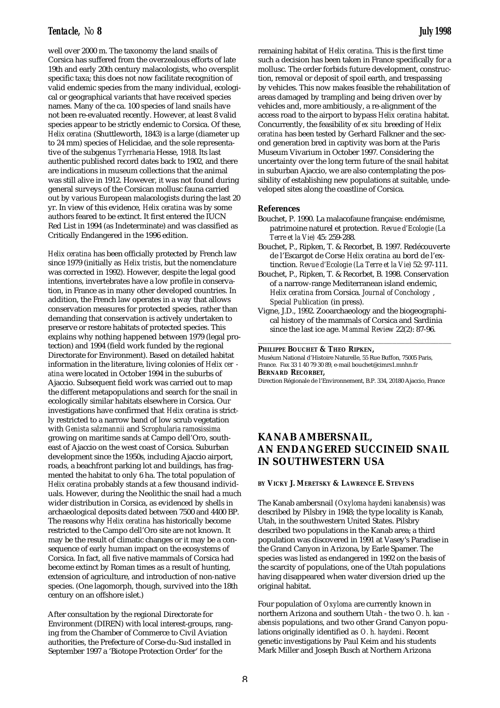well over 2000 m. The taxonomy the land snails of Corsica has suffered from the overzealous efforts of late 19th and early 20th century malacologists, who oversplit specific taxa; this does not now facilitate recognition of valid endemic species from the many individual, ecological or geographical variants that have received species names. Many of the ca. 100 species of land snails have not been re-evaluated recently. However, at least 8 valid species appear to be strictly endemic to Corsica. Of these, *Helix ceratina* (Shuttleworth, 1843) is a large (diameter up to 24 mm) species of Helicidae, and the sole representative of the subgenus *Tyrrhenaria* Hesse, 1918. Its last authentic published record dates back to 1902, and there are indications in museum collections that the animal was still alive in 1912. However, it was not found during general surveys of the Corsican mollusc fauna carried out by various European malacologists during the last 20 yr. In view of this evidence, *Helix ceratina* was by some authors feared to be extinct. It first entered the IUCN Red List in 1994 (as Indeterminate) and was classified as Critically Endangered in the 1996 edition.

*Helix ceratina* has been officially protected by French law since 1979 (initially as *Helix tristis*, but the nomenclature was corrected in 1992). However, despite the legal good intentions, invertebrates have a low profile in conservation, in France as in many other developed countries. In addition, the French law operates in a way that allows conservation measures for protected species, rather than demanding that conservation is actively undertaken to preserve or restore habitats of protected species. This explains why nothing happened between 1979 (legal protection) and 1994 (field work funded by the regional Directorate for Environment). Based on detailed habitat information in the literature, living colonies of *Helix cer atina* were located in October 1994 in the suburbs of Ajaccio. Subsequent field work was carried out to map the different metapopulations and search for the snail in ecologically similar habitats elsewhere in Corsica. Our investigations have confirmed that *Helix ceratina* is strictly restricted to a narrow band of low scrub vegetation with *Genista salzmannii* and *Scrophularia ramosissima* growing on maritime sands at Campo dell'Oro, southeast of Ajaccio on the west coast of Corsica. Suburban development since the 1950s, including Ajaccio airport, roads, a beachfront parking lot and buildings, has fragmented the habitat to only 6 ha. The total population of *Helix ceratina* probably stands at a few thousand individuals. However, during the Neolithic the snail had a much wider distribution in Corsica, as evidenced by shells in archaeological deposits dated between 7500 and 4400 BP. The reasons why *Helix ceratina* has historically become restricted to the Campo dell'Oro site are not known. It may be the result of climatic changes or it may be a consequence of early human impact on the ecosystems of Corsica. In fact, all five native mammals of Corsica had become extinct by Roman times as a result of hunting, extension of agriculture, and introduction of non-native species. (One lagomorph, though, survived into the 18th century on an offshore islet.)

After consultation by the regional Directorate for Environment (DIREN) with local interest-groups, ranging from the Chamber of Commerce to Civil Aviation authorities, the Prefecture of Corse-du-Sud installed in September 1997 a 'Biotope Protection Order' for the

remaining habitat of *Helix ceratina*. This is the first time such a decision has been taken in France specifically for a mollusc. The order forbids future development, construction, removal or deposit of spoil earth, and trespassing by vehicles. This now makes feasible the rehabilitation of areas damaged by trampling and being driven over by vehicles and, more ambitiously, a re-alignment of the access road to the airport to bypass *Helix ceratina* habitat. Concurrently, the feasibility of *ex situ* breeding of *Helix ceratina* has been tested by Gerhard Falkner and the second generation bred in captivity was born at the Paris Museum Vivarium in October 1997. Considering the uncertainty over the long term future of the snail habitat in suburban Ajaccio, we are also contemplating the possibility of establishing new populations at suitable, undeveloped sites along the coastline of Corsica.

### **References**

- Bouchet, P. 1990. La malacofaune française: endémisme, patrimoine naturel et protection. *Revue d'Ecologie (La Terre et la Vie)* 45: 259-288.
- Bouchet, P., Ripken, T. & Recorbet, B. 1997. Redécouverte de l'Escargot de Corse *Helix ceratina* au bord de l'extinction. *Revue d'Ecologie (La Terre et la Vie)* 52: 97-111.
- Bouchet, P., Ripken, T. & Recorbet, B. 1998. Conservation of a narrow-range Mediterranean island endemic, *Helix ceratina* from Corsica. *Journal of Conchology* , *Special Publication* (in press).
- Vigne, J.D., 1992. Zooarchaeology and the biogeographical history of the mammals of Corsica and Sardinia since the last ice age. *Mammal Review* 22(2): 87-96.

\_\_\_\_\_\_\_\_\_\_\_\_\_\_\_\_\_\_\_\_\_\_\_\_\_\_\_\_\_\_\_\_\_\_\_\_\_\_\_\_\_\_\_\_\_\_

### **PHILIPPE BOUCHET & THEO RIPKEN,**

Muséum National d'Histoire Naturelle, 55 Rue Buffon, 75005 Paris, France. Fax 33 1 40 79 30 89, e-mail bouchet@cimrs1.mnhn.fr **BERNARD RECORBET,**

Direction Régionale de l'Environnement, B.P. 334, 20180 Ajaccio, France

# **KANAB AMBERSNAIL, AN ENDANGERED SUCCINEID SNAIL IN SOUTHWESTERN USA**

**BY VICKY J. MERETSKY & LAWRENCE E. STEVENS**

The Kanab ambersnail (*Oxyloma haydeni kanabensis*) was described by Pilsbry in 1948; the type locality is Kanab, Utah, in the southwestern United States. Pilsbry described two populations in the Kanab area; a third population was discovered in 1991 at Vasey's Paradise in the Grand Canyon in Arizona, by Earle Spamer. The species was listed as endangered in 1992 on the basis of the scarcity of populations, one of the Utah populations having disappeared when water diversion dried up the original habitat.

Four population of *Oxyloma* are currently known in northern Arizona and southern Utah - the two *O. h. kan abensis* populations, and two other Grand Canyon populations originally identified as *O. h. haydeni*. Recent genetic investigations by Paul Keim and his students Mark Miller and Joseph Busch at Northern Arizona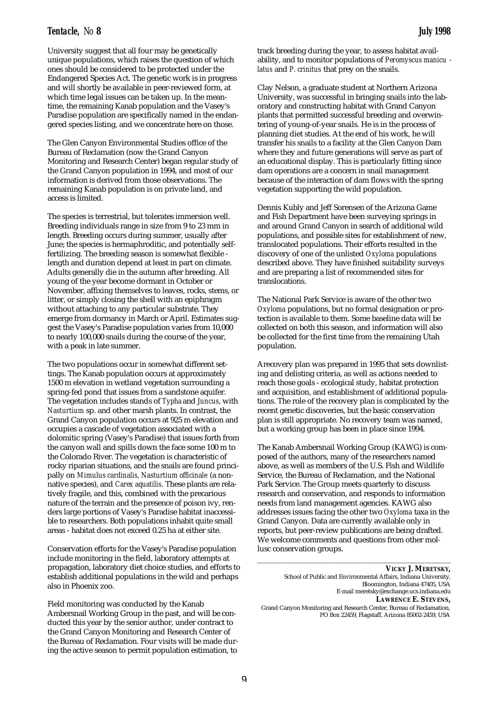University suggest that all four may be genetically unique populations, which raises the question of which ones should be considered to be protected under the Endangered Species Act. The genetic work is in progress and will shortly be available in peer-reviewed form, at which time legal issues can be taken up. In the meantime, the remaining Kanab population and the Vasey's Paradise population are specifically named in the endangered species listing, and we concentrate here on those.

The Glen Canyon Environmental Studies office of the Bureau of Reclamation (now the Grand Canyon Monitoring and Research Center) began regular study of the Grand Canyon population in 1994, and most of our information is derived from those observations. The remaining Kanab population is on private land, and access is limited.

The species is terrestrial, but tolerates immersion well. Breeding individuals range in size from 9 to 23 mm in length. Breeding occurs during summer, usually after June; the species is hermaphroditic, and potentially selffertilizing. The breeding season is somewhat flexible length and duration depend at least in part on climate. Adults generally die in the autumn after breeding. All young of the year become dormant in October or November, affixing themselves to leaves, rocks, stems, or litter, or simply closing the shell with an epiphragm without attaching to any particular substrate. They emerge from dormancy in March or April. Estimates suggest the Vasey's Paradise population varies from 10,000 to nearly 100,000 snails during the course of the year, with a peak in late summer.

The two populations occur in somewhat different settings. The Kanab population occurs at approximately 1500 m elevation in wetland vegetation surrounding a spring-fed pond that issues from a sandstone aquifer. The vegetation includes stands of *Typha* and *Juncus*, with *Nasturtium* sp. and other marsh plants. In contrast, the Grand Canyon population occurs at 925 m elevation and occupies a cascade of vegetation associated with a dolomitic spring (Vasey's Paradise) that issues forth from the canyon wall and spills down the face some 100 m to the Colorado River. The vegetation is characteristic of rocky riparian situations, and the snails are found principally on *Mimulus cardinalis, Nasturtium officinale* (a nonnative species), and *Carex aquatilis*. These plants are relatively fragile, and this, combined with the precarious nature of the terrain and the presence of poison ivy, renders large portions of Vasey's Paradise habitat inaccessible to researchers. Both populations inhabit quite small areas - habitat does not exceed 0.25 ha at either site.

Conservation efforts for the Vasey's Paradise population include monitoring in the field, laboratory attempts at propagation, laboratory diet choice studies, and efforts to establish additional populations in the wild and perhaps also in Phoenix zoo.

Field monitoring was conducted by the Kanab Ambersnail Working Group in the past, and will be conducted this year by the senior author, under contract to the Grand Canyon Monitoring and Research Center of the Bureau of Reclamation. Four visits will be made during the active season to permit population estimation, to

track breeding during the year, to assess habitat availability, and to monitor populations of *Peromyscus manicu latus* and *P. crinitus* that prey on the snails.

Clay Nelson, a graduate student at Northern Arizona University, was successful in bringing snails into the laboratory and constructing habitat with Grand Canyon plants that permitted successful breeding and overwintering of young-of-year snails. He is in the process of planning diet studies. At the end of his work, he will transfer his snails to a facility at the Glen Canyon Dam where they and future generations will serve as part of an educational display. This is particularly fitting since dam operations are a concern in snail management because of the interaction of dam flows with the spring vegetation supporting the wild population.

Dennis Kubly and Jeff Sorensen of the Arizona Game and Fish Department have been surveying springs in and around Grand Canyon in search of additional wild populations, and possible sites for establishment of new, translocated populations. Their efforts resulted in the discovery of one of the unlisted *Oxyloma* populations described above. They have finished suitability surveys and are preparing a list of recommended sites for translocations.

The National Park Service is aware of the other two *Oxyloma* populations, but no formal designation or protection is available to them. Some baseline data will be collected on both this season, and information will also be collected for the first time from the remaining Utah population.

Arecovery plan was prepared in 1995 that sets downlisting and delisting criteria, as well as actions needed to reach those goals - ecological study, habitat protection and acquisition, and establishment of additional populations. The role of the recovery plan is complicated by the recent genetic discoveries, but the basic conservation plan is still appropriate. No recovery team was named, but a working group has been in place since 1994.

The Kanab Ambersnail Working Group (KAWG) is composed of the authors, many of the researchers named above, as well as members of the U.S. Fish and Wildlife Service, the Bureau of Reclamation, and the National Park Service. The Group meets quarterly to discuss research and conservation, and responds to information needs from land management agencies. KAWG also addresses issues facing the other two *Oxyloma* taxa in the Grand Canyon. Data are currently available only in reports, but peer-review publications are being drafted. We welcome comments and questions from other mollusc conservation groups.

\_\_\_\_\_\_\_\_\_\_\_\_\_\_\_\_\_\_\_\_\_\_\_\_\_\_\_\_\_\_\_\_\_\_\_\_\_\_\_\_\_\_\_\_\_\_

PO Box 22459, Flagstaff, Arizona 85002-2459, USA

**VICKY J. MERETSKY,** School of Public and Environmental Affairs, Indiana University, Bloomington, Indiana 47405, USA E-mail meretsky@exchange.ucs.indiana.edu **LAWRENCE E. STEVENS,** Grand Canyon Monitoring and Research Center, Bureau of Reclamation,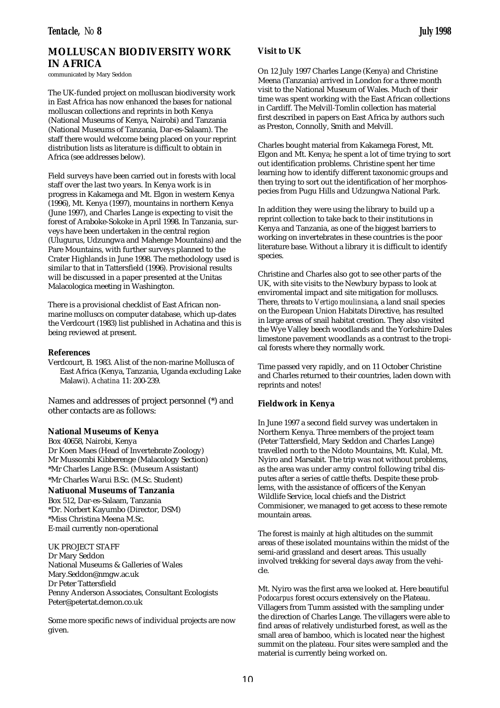# **MOLLUSCAN BIODIVERSITY WORK IN AFRICA**

communicated by Mary Seddon

The UK-funded project on molluscan biodiversity work in East Africa has now enhanced the bases for national molluscan collections and reprints in both Kenya (National Museums of Kenya, Nairobi) and Tanzania (National Museums of Tanzania, Dar-es-Salaam). The staff there would welcome being placed on your reprint distribution lists as literature is difficult to obtain in Africa (see addresses below).

Field surveys have been carried out in forests with local staff over the last two years. In Kenya work is in progress in Kakamega and Mt. Elgon in western Kenya (1996), Mt. Kenya (1997), mountains in northern Kenya (June 1997), and Charles Lange is expecting to visit the forest of Araboke-Sokoke in April 1998. In Tanzania, surveys have been undertaken in the central region (Ulugurus, Udzungwa and Mahenge Mountains) and the Pare Mountains, with further surveys planned to the Crater Highlands in June 1998. The methodology used is similar to that in Tattersfield (1996). Provisional results will be discussed in a paper presented at the Unitas Malacologica meeting in Washington.

There is a provisional checklist of East African nonmarine molluscs on computer database, which up-dates the Verdcourt (1983) list published in Achatina and this is being reviewed at present.

### **References**

Verdcourt, B. 1983. Alist of the non-marine Mollusca of East Africa (Kenya, Tanzania, Uganda excluding Lake Malawi). *Achatina* 11: 200-239.

Names and addresses of project personnel (\*) and other contacts are as follows:

## **National Museums of Kenya**

Box 40658, Nairobi, Kenya Dr Koen Maes (Head of Invertebrate Zoology) Mr Mussombi Kibberenge (Malacology Section) \*Mr Charles Lange B.Sc. (Museum Assistant)

\*Mr Charles Warui B.Sc. (M.Sc. Student)

**Natiuonal Museums of Tanzania** Box 512, Dar-es-Salaam, Tanzania \*Dr. Norbert Kayumbo (Director, DSM) \*Miss Christina Meena M.Sc.

E-mail currently non-operational

UK PROJECT STAFF Dr Mary Seddon National Museums & Galleries of Wales Mary.Seddon@nmgw.ac.uk Dr Peter Tattersfield Penny Anderson Associates, Consultant Ecologists Peter@petertat.demon.co.uk

Some more specific news of individual projects are now given.

# **Visit to UK**

On 12 July 1997 Charles Lange (Kenya) and Christine Meena (Tanzania) arrived in London for a three month visit to the National Museum of Wales. Much of their time was spent working with the East African collections in Cardiff. The Melvill-Tomlin collection has material first described in papers on East Africa by authors such as Preston, Connolly, Smith and Melvill.

Charles bought material from Kakamega Forest, Mt. Elgon and Mt. Kenya; he spent a lot of time trying to sort out identification problems. Christine spent her time learning how to identify different taxonomic groups and then trying to sort out the identification of her morphospecies from Pugu Hills and Udzungwa National Park.

In addition they were using the library to build up a reprint collection to take back to their institutions in Kenya and Tanzania, as one of the biggest barriers to working on invertebrates in these countries is the poor literature base. Without a library it is difficult to identify species.

Christine and Charles also got to see other parts of the UK, with site visits to the Newbury bypass to look at enviromental impact and site mitigation for molluscs. There, threats to *Vertigo moulinsiana*, a land snail species on the European Union Habitats Directive, has resulted in large areas of snail habitat creation. They also visited the Wye Valley beech woodlands and the Yorkshire Dales limestone pavement woodlands as a contrast to the tropical forests where they normally work.

Time passed very rapidly, and on 11 October Christine and Charles returned to their countries, laden down with reprints and notes!

## **Fieldwork in Kenya**

In June 1997 a second field survey was undertaken in Northern Kenya. Three members of the project team (Peter Tattersfield, Mary Seddon and Charles Lange) travelled north to the Ndoto Mountains, Mt. Kulal, Mt. Nyiro and Marsabit. The trip was not without problems, as the area was under army control following tribal disputes after a series of cattle thefts. Despite these problems, with the assistance of officers of the Kenyan Wildlife Service, local chiefs and the District Commisioner, we managed to get access to these remote mountain areas.

The forest is mainly at high altitudes on the summit areas of these isolated mountains within the midst of the semi-arid grassland and desert areas. This usually involved trekking for several days away from the vehicle.

Mt. Nyiro was the first area we looked at. Here beautiful *Podocarpus* forest occurs extensively on the Plateau. Villagers from Tumm assisted with the sampling under the direction of Charles Lange. The villagers were able to find areas of relatively undisturbed forest, as well as the small area of bamboo, which is located near the highest summit on the plateau. Four sites were sampled and the material is currently being worked on.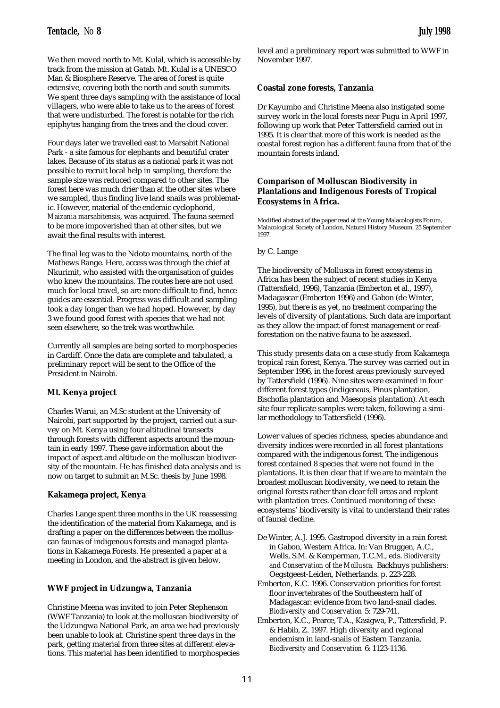We then moved north to Mt. Kulal, which is accessible by track from the mission at Gatab. Mt. Kulal is a UNESCO Man & Biosphere Reserve. The area of forest is quite extensive, covering both the north and south summits. We spent three days sampling with the assistance of local villagers, who were able to take us to the areas of forest that were undisturbed. The forest is notable for the rich epiphytes hanging from the trees and the cloud cover.

Four days later we travelled east to Marsabit National Park - a site famous for elephants and beautiful crater lakes. Because of its status as a national park it was not possible to recruit local help in sampling, therefore the sample size was reduced compared to other sites. The forest here was much drier than at the other sites where we sampled, thus finding live land snails was problematic. However, material of the endemic cyclophorid, *Maizania marsabitensis*, was acquired. The fauna seemed to be more impoverished than at other sites, but we await the final results with interest.

The final leg was to the Ndoto mountains, north of the Mathews Range. Here, access was through the chief at Nkurimit, who assisted with the organisation of guides who knew the mountains. The routes here are not used much for local travel, so are more difficult to find, hence guides are essential. Progress was difficult and sampling took a day longer than we had hoped. However, by day 3 we found good forest with species that we had not seen elsewhere, so the trek was worthwhile.

Currently all samples are being sorted to morphospecies in Cardiff. Once the data are complete and tabulated, a preliminary report will be sent to the Office of the President in Nairobi.

# **Mt. Kenya project**

Charles Warui, an M.Sc student at the University of Nairobi, part supported by the project, carried out a survey on Mt. Kenya using four altitudinal transects through forests with different aspects around the mountain in early 1997. These gave information about the impact of aspect and altitude on the molluscan biodiversity of the mountain. He has finished data analysis and is now on target to submit an M.Sc. thesis by June 1998.

# **Kakamega project, Kenya**

Charles Lange spent three months in the UK reassessing the identification of the material from Kakamega, and is drafting a paper on the differences between the molluscan faunas of indigenous forests and managed plantations in Kakamega Forests. He presented a paper at a meeting in London, and the abstract is given below.

# **WWF project in Udzungwa, Tanzania**

Christine Meena was invited to join Peter Stephenson (WWF Tanzania) to look at the molluscan biodiversity of the Udzungwa National Park, an area we had previously been unable to look at. Christine spent three days in the park, getting material from three sites at different elevations. This material has been identified to morphospecies

level and a preliminary report was submitted to WWF in November 1997.

# **Coastal zone forests, Tanzania**

Dr Kayumbo and Christine Meena also instigated some survey work in the local forests near Pugu in April 1997, following up work that Peter Tattersfield carried out in 1995. It is clear that more of this work is needed as the coastal forest region has a different fauna from that of the mountain forests inland.

# **Comparison of Molluscan Biodiversity in Plantations and Indigenous Forests of Tropical Ecosystems in Africa.**

Modified abstract of the paper read at the Young Malacologists Forum, Malacological Society of London, Natural History Museum, 25 September 1997.

# by C. Lange

The biodiversity of Mollusca in forest ecosystems in Africa has been the subject of recent studies in Kenya (Tattersfield, 1996), Tanzania (Emberton et al., 1997), Madagascar (Emberton 1996) and Gabon (de Winter, 1995), but there is as yet, no treatment comparing the levels of diversity of plantations. Such data are important as they allow the impact of forest management or reafforestation on the native fauna to be assessed.

This study presents data on a case study from Kakamega tropical rain forest, Kenya. The survey was carried out in September 1996, in the forest areas previously surveyed by Tattersfield (1996). Nine sites were examined in four different forest types (indigenous, Pinus plantation, Bischofia plantation and Maesopsis plantation). At each site four replicate samples were taken, following a similar methodology to Tattersfield (1996).

Lower values of species richness, species abundance and diversity indices were recorded in all forest plantations compared with the indigenous forest. The indigenous forest contained 8 species that were not found in the plantations. It is then clear that if we are to maintain the broadest molluscan biodiversity, we need to retain the original forests rather than clear fell areas and replant with plantation trees. Continued monitoring of these ecosystems' biodiversity is vital to understand their rates of faunal decline.

- De Winter, A.J. 1995. Gastropod diversity in a rain forest in Gabon, Western Africa. In: Van Bruggen, A.C., Wells, S.M. & Kemperman, T.C.M., eds. *Biodiversity and Conservation of the Mollusca.* Backhuys publishers: Oegstgeest-Leiden, Netherlands. p. 223-228.
- Emberton, K.C. 1996. Conservation priorities for forest floor invertebrates of the Southeastern half of Madagascar: evidence from two land-snail clades. *Biodiversity and Conservation* 5: 729-741.
- Emberton, K.C., Pearce, T.A., Kasigwa, P., Tattersfield, P. & Habib, Z. 1997. High diversity and regional endemism in land-snails of Eastern Tanzania. *Biodiversity and Conservation* 6: 1123-1136.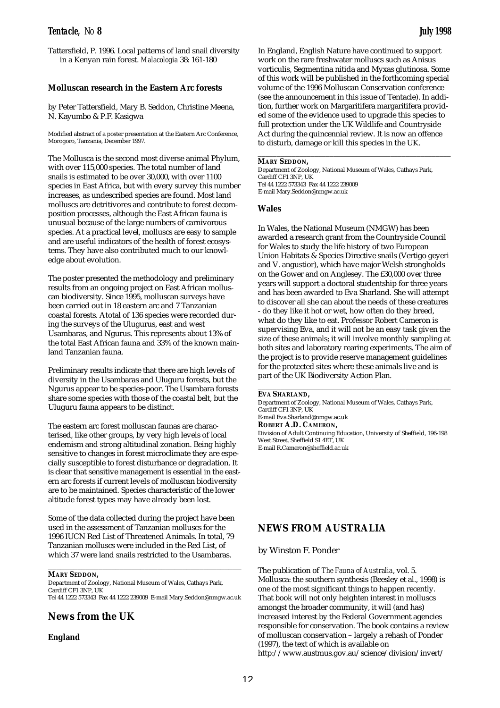Tattersfield, P. 1996. Local patterns of land snail diversity in a Kenyan rain forest. *Malacologia* 38: 161-180

# **Molluscan research in the Eastern Arc forests**

by Peter Tattersfield, Mary B. Seddon, Christine Meena, N. Kayumbo & P.F. Kasigwa

Modified abstract of a poster presentation at the Eastern Arc Conference, Morogoro, Tanzania, December 1997.

The Mollusca is the second most diverse animal Phylum, with over 115,000 species. The total number of land snails is estimated to be over 30,000, with over 1100 species in East Africa, but with every survey this number increases, as undescribed species are found. Most land molluscs are detritivores and contribute to forest decomposition processes, although the East African fauna is unusual because of the large numbers of carnivorous species. At a practical level, molluscs are easy to sample and are useful indicators of the health of forest ecosystems. They have also contributed much to our knowledge about evolution.

The poster presented the methodology and preliminary results from an ongoing project on East African molluscan biodiversity. Since 1995, molluscan surveys have been carried out in 18 eastern arc and 7 Tanzanian coastal forests. Atotal of 136 species were recorded during the surveys of the Ulugurus, east and west Usambaras, and Ngurus. This represents about 13% of the total East African fauna and 33% of the known mainland Tanzanian fauna.

Preliminary results indicate that there are high levels of diversity in the Usambaras and Uluguru forests, but the Ngurus appear to be species-poor. The Usambara forests share some species with those of the coastal belt, but the Uluguru fauna appears to be distinct.

The eastern arc forest molluscan faunas are characterised, like other groups, by very high levels of local endemism and strong altitudinal zonation. Being highly sensitive to changes in forest microclimate they are especially susceptible to forest disturbance or degradation. It is clear that sensitive management is essential in the eastern arc forests if current levels of molluscan biodiversity are to be maintained. Species characteristic of the lower altitude forest types may have already been lost.

Some of the data collected during the project have been used in the assessment of Tanzanian molluscs for the 1996 IUCN Red List of Threatened Animals. In total, 79 Tanzanian molluscs were included in the Red List, of which 37 were land snails restricted to the Usambaras.

\_\_\_\_\_\_\_\_\_\_\_\_\_\_\_\_\_\_\_\_\_\_\_\_\_\_\_\_\_\_\_\_\_\_\_\_\_\_\_\_\_\_\_\_\_\_

**MARY SEDDON,**

Department of Zoology, National Museum of Wales, Cathays Park, Cardiff CF1 3NP, UK Tel 44 1222 573343 Fax 44 1222 239009 E-mail Mary.Seddon@nmgw.ac.uk

# **News from the UK**

**England**

In England, English Nature have continued to support work on the rare freshwater molluscs such as Anisus vorticulis, Segmentina nitida and Myxas glutinosa. Some of this work will be published in the forthcoming special volume of the 1996 Molluscan Conservation conference (see the announcement in this issue of Tentacle). In addition, further work on Margaritifera margaritifera provided some of the evidence used to upgrade this species to full protection under the UK Wildlife and Countryside Act during the quincennial review. It is now an offence to disturb, damage or kill this species in the UK.

\_\_\_\_\_\_\_\_\_\_\_\_\_\_\_\_\_\_\_\_\_\_\_\_\_\_\_\_\_\_\_\_\_\_\_\_\_\_\_\_\_\_\_\_\_\_\_\_\_\_\_

### **MARY SEDDON,**

Department of Zoology, National Museum of Wales, Cathays Park, Cardiff CF1 3NP, UK Tel 44 1222 573343 Fax 44 1222 239009 E-mail Mary.Seddon@nmgw.ac.uk

### **Wales**

In Wales, the National Museum (NMGW) has been awarded a research grant from the Countryside Council for Wales to study the life history of two European Union Habitats & Species Directive snails (Vertigo geyeri and V. angustior), which have major Welsh strongholds on the Gower and on Anglesey. The £30,000 over three years will support a doctoral studentship for three years and has been awarded to Eva Sharland. She will attempt to discover all she can about the needs of these creatures - do they like it hot or wet, how often do they breed, what do they like to eat. Professor Robert Cameron is supervising Eva, and it will not be an easy task given the size of these animals; it will involve monthly sampling at both sites and laboratory rearing experiments. The aim of the project is to provide reserve management guidelines for the protected sites where these animals live and is part of the UK Biodiversity Action Plan.

**EVA SHARLAND,**

Department of Zoology, National Museum of Wales, Cathays Park, Cardiff CF1 3NP, UK

\_\_\_\_\_\_\_\_\_\_\_\_\_\_\_\_\_\_\_\_\_\_\_\_\_\_\_\_\_\_\_\_\_\_\_\_\_\_\_\_\_\_\_\_\_\_\_\_\_\_\_

E-mail Eva.Sharland@nmgw.ac.uk

**ROBERT A.D. CAMERON,**

Division of Adult Continuing Education, University of Sheffield, 196-198 West Street, Sheffield S1 4ET, UK E-mail R.Cameron@sheffield.ac.uk

# **NEWS FROM AUSTRALIA**

by Winston F. Ponder

The publication of *The Fauna of Australia*, vol. 5. Mollusca: the southern synthesis (Beesley et al., 1998) is one of the most significant things to happen recently. That book will not only heighten interest in molluscs amongst the broader community, it will (and has) increased interest by the Federal Government agencies responsible for conservation. The book contains a review of molluscan conservation – largely a rehash of Ponder (1997), the text of which is available on http://www.austmus.gov.au/science/division/invert/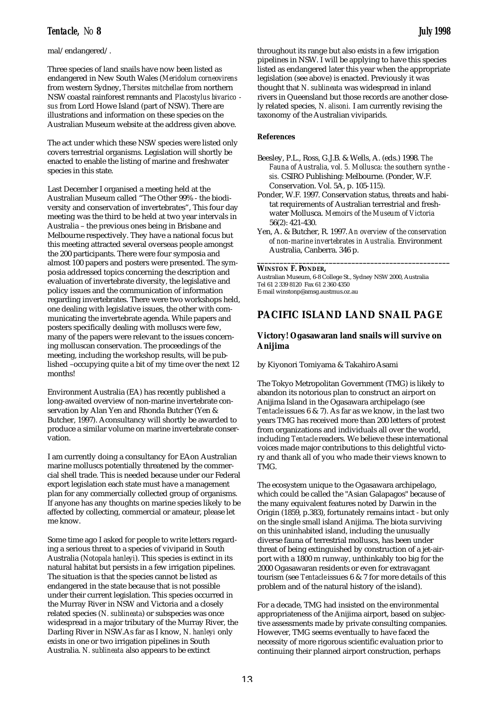# mal/endangered/.

Three species of land snails have now been listed as endangered in New South Wales (*Meridolum corneovirens* from western Sydney, *Thersites mitchellae* from northern NSW coastal rainforest remnants and *Placostylus bivarico sus* from Lord Howe Island (part of NSW). There are illustrations and information on these species on the Australian Museum website at the address given above.

The act under which these NSW species were listed only covers terrestrial organisms. Legislation will shortly be enacted to enable the listing of marine and freshwater species in this state.

Last December I organised a meeting held at the Australian Museum called "The Other 99% - the biodiversity and conservation of invertebrates", This four day meeting was the third to be held at two year intervals in Australia – the previous ones being in Brisbane and Melbourne respectively. They have a national focus but this meeting attracted several overseas people amongst the 200 participants. There were four symposia and almost 100 papers and posters were presented. The symposia addressed topics concerning the description and evaluation of invertebrate diversity, the legislative and policy issues and the communication of information regarding invertebrates. There were two workshops held, one dealing with legislative issues, the other with communicating the invertebrate agenda. While papers and posters specifically dealing with molluscs were few, many of the papers were relevant to the issues concerning molluscan conservation. The proceedings of the meeting, including the workshop results, will be published –occupying quite a bit of my time over the next 12 months!

Environment Australia (EA) has recently published a long-awaited overview of non-marine invertebrate conservation by Alan Yen and Rhonda Butcher (Yen & Butcher, 1997). Aconsultancy will shortly be awarded to produce a similar volume on marine invertebrate conservation.

I am currently doing a consultancy for EAon Australian marine molluscs potentially threatened by the commercial shell trade. This is needed because under our Federal export legislation each state must have a management plan for any commercially collected group of organisms. If anyone has any thoughts on marine species likely to be affected by collecting, commercial or amateur, please let me know.

Some time ago I asked for people to write letters regarding a serious threat to a species of viviparid in South Australia (*Notopala hanleyi*). This species is extinct in its natural habitat but persists in a few irrigation pipelines. The situation is that the species cannot be listed as endangered in the state because that is not possible under their current legislation. This species occurred in the Murray River in NSW and Victoria and a closely related species (*N. sublineata*) or subspecies was once widespread in a major tributary of the Murray River, the Darling River in NSW.As far as I know, *N. hanleyi* only exists in one or two irrigation pipelines in South Australia. *N. sublineata* also appears to be extinct

throughout its range but also exists in a few irrigation pipelines in NSW. I will be applying to have this species listed as endangered later this year when the appropriate legislation (see above) is enacted. Previously it was thought that *N. sublineata* was widespread in inland rivers in Queensland but those records are another closely related species, *N. alisoni.* I am currently revising the taxonomy of the Australian viviparids.

# **References**

- Beesley, P.L., Ross, G.J.B. & Wells, A. (eds.) 1998. *The Fauna of Australia, vol. 5. Mollusca: the southern synthe sis.* CSIRO Publishing: Melbourne. (Ponder, W.F. Conservation. Vol. 5A, p. 105-115).
- Ponder, W.F. 1997. Conservation status, threats and habitat requirements of Australian terrestrial and freshwater Mollusca. *Memoirs of the Museum of Victoria* 56(2): 421-430.
- Yen, A. & Butcher, R. 1997. *An overview of the conservation of non-marine invertebrates in Australia.* Environment Australia, Canberra. 346 p.

**\_\_\_\_\_\_\_\_\_\_\_\_\_\_\_\_\_\_\_\_\_\_\_\_\_\_\_\_\_\_\_\_\_\_\_\_\_\_\_\_\_\_\_\_\_\_\_\_\_\_\_**

### **WINSTON F. PONDER,**

Australian Museum, 6-8 College St., Sydney NSW 2000, Australia Tel 61 2 339 8120 Fax 61 2 360 4350 E-mail winstonp@amsg.austmus.oz.au

# **PACIFIC ISLAND LAND SNAIL PAGE**

# **Victory! Ogasawaran land snails will survive on Anijima**

by Kiyonori Tomiyama & Takahiro Asami

The Tokyo Metropolitan Government (TMG) is likely to abandon its notorious plan to construct an airport on Anijima Island in the Ogasawara archipelago (see *Tentacle*issues 6 & 7). As far as we know, in the last two years TMG has received more than 200 letters of protest from organizations and individuals all over the world, including *Tentacle*readers. We believe these international voices made major contributions to this delightful victory and thank all of you who made their views known to TMG.

The ecosystem unique to the Ogasawara archipelago, which could be called the "Asian Galapagos" because of the many equivalent features noted by Darwin in the Origin (1859, p.383), fortunately remains intact - but only on the single small island Anijima. The biota surviving on this uninhabited island, including the unusually diverse fauna of terrestrial molluscs, has been under threat of being extinguished by construction of a jet-airport with a 1800 m runway, unthinkably too big for the 2000 Ogasawaran residents or even for extravagant tourism (see *Tentacle*issues 6 & 7 for more details of this problem and of the natural history of the island).

For a decade, TMG had insisted on the environmental appropriateness of the Anijima airport, based on subjective assessments made by private consulting companies. However, TMG seems eventually to have faced the necessity of more rigorous scientific evaluation prior to continuing their planned airport construction, perhaps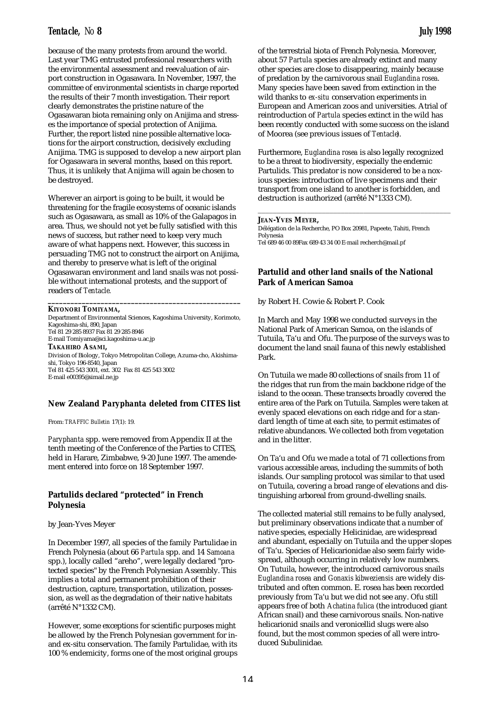because of the many protests from around the world. Last year TMG entrusted professional researchers with the environmental assessment and reevaluation of airport construction in Ogasawara. In November, 1997, the committee of environmental scientists in charge reported the results of their 7 month investigation. Their report clearly demonstrates the pristine nature of the Ogasawaran biota remaining only on Anijima and stresses the importance of special protection of Anijima. Further, the report listed nine possible alternative locations for the airport construction, decisively excluding Anijima. TMG is supposed to develop a new airport plan for Ogasawara in several months, based on this report. Thus, it is unlikely that Anijima will again be chosen to be destroyed.

Wherever an airport is going to be built, it would be threatening for the fragile ecosystems of oceanic islands such as Ogasawara, as small as 10% of the Galapagos in area. Thus, we should not yet be fully satisfied with this news of success, but rather need to keep very much aware of what happens next. However, this success in persuading TMG not to construct the airport on Anijima, and thereby to preserve what is left of the original Ogasawaran environment and land snails was not possible without international protests, and the support of readers of *Tentacle.*

# **KIYONORI TOMIYAMA,**

Department of Environmental Sciences, Kagoshima University, Korimoto, Kagoshima-shi, 890, Japan Tel 81 29 285 8937 Fax 81 29 285 8946 E-mail Tomiyama@sci.kagoshima-u.ac.jp **TAKAHIRO ASAMI,** Division of Biology, Tokyo Metropolitan College, Azuma-cho, Akishimashi, Tokyo 196-8540, Japan Tel 81 425 543 3001, ext. 302 Fax 81 425 543 3002 E-mail e00395@simail.ne.jp

**\_\_\_\_\_\_\_\_\_\_\_\_\_\_\_\_\_\_\_\_\_\_\_\_\_\_\_\_\_\_\_\_\_\_\_\_\_\_\_\_\_\_\_\_\_\_\_\_\_\_\_**

## **New Zealand** *Paryphanta* **deleted from CITES list**

From: *TRAFFIC Bulletin* 17(1): 19.

*Paryphanta* spp. were removed from Appendix II at the tenth meeting of the Conference of the Parties to CITES, held in Harare, Zimbabwe, 9-20 June 1997. The amendement entered into force on 18 September 1997.

# **Partulids declared "protected" in French Polynesia**

### by Jean-Yves Meyer

In December 1997, all species of the family Partulidae in French Polynesia (about 66 *Partula* spp. and 14 *Samoana* spp.), locally called "areho", were legally declared "protected species" by the French Polynesian Assembly. This implies a total and permanent prohibition of their destruction, capture, transportation, utilization, possession, as well as the degradation of their native habitats (arrêté N°1332 CM).

However, some exceptions for scientific purposes might be allowed by the French Polynesian government for inand ex-situ conservation. The family Partulidae, with its 100 % endemicity, forms one of the most original groups

of the terrestrial biota of French Polynesia. Moreover, about 57 *Partula* species are already extinct and many other species are close to disappearing, mainly because of predation by the carnivorous snail *Euglandina rosea*. Many species have been saved from extinction in the wild thanks to *ex-situ* conservation experiments in European and American zoos and universities. Atrial of reintroduction of *Partula* species extinct in the wild has been recently conducted with some success on the island of Moorea (see previous issues of *Tentacle*).

Furthermore, *Euglandina rosea* is also legally recognized to be a threat to biodiversity, especially the endemic Partulids. This predator is now considered to be a noxious species: introduction of live specimens and their transport from one island to another is forbidden, and destruction is authorized (arrêté N°1333 CM).

\_\_\_\_\_\_\_\_\_\_\_\_\_\_\_\_\_\_\_\_\_\_\_\_\_\_\_\_\_\_\_\_\_\_\_\_\_\_\_\_\_\_\_\_\_\_\_\_\_\_\_

Délégation de la Recherche, PO Box 20981, Papeete, Tahiti, French Polynesia Tel 689 46 00 89Fax 689 43 34 00 E-mail recherch@mail.pf

# **Partulid and other land snails of the National Park of American Samoa**

by Robert H. Cowie & Robert P. Cook

In March and May 1998 we conducted surveys in the National Park of American Samoa, on the islands of Tutuila, Ta'u and Ofu. The purpose of the surveys was to document the land snail fauna of this newly established Park.

On Tutuila we made 80 collections of snails from 11 of the ridges that run from the main backbone ridge of the island to the ocean. These transects broadly covered the entire area of the Park on Tutuila. Samples were taken at evenly spaced elevations on each ridge and for a standard length of time at each site, to permit estimates of relative abundances. We collected both from vegetation and in the litter.

On Ta'u and Ofu we made a total of 71 collections from various accessible areas, including the summits of both islands. Our sampling protocol was similar to that used on Tutuila, covering a broad range of elevations and distinguishing arboreal from ground-dwelling snails.

The collected material still remains to be fully analysed, but preliminary observations indicate that a number of native species, especially Helicinidae, are widespread and abundant, especially on Tutuila and the upper slopes of Ta'u. Species of Helicarionidae also seem fairly widespread, although occurring in relatively low numbers. On Tutuila, however, the introduced carnivorous snails *Euglandina rosea* and *Gonaxis kibweziensis* are widely distributed and often common. E. rosea has been recorded previously from Ta'u but we did not see any. Ofu still appears free of both *Achatina fulica* (the introduced giant African snail) and these carnivorous snails. Non-native helicarionid snails and veronicellid slugs were also found, but the most common species of all were introduced Subulinidae.

**JEAN-YVES MEYER,**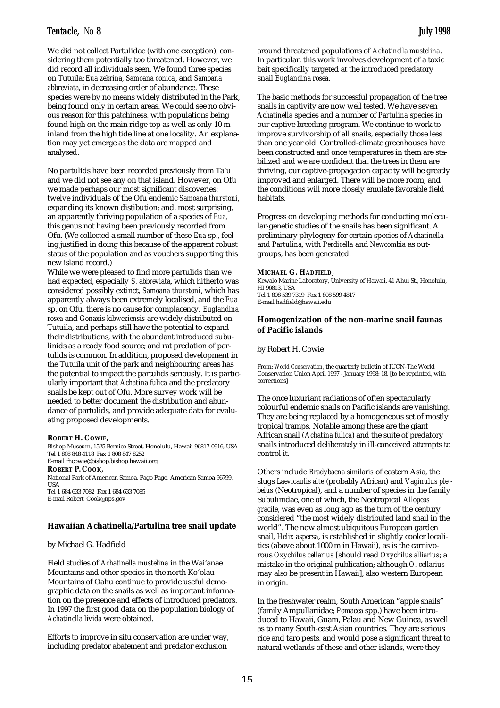We did not collect Partulidae (with one exception), considering them potentially too threatened. However, we did record all individuals seen. We found three species on Tutuila: *Eua zebrina, Samoana conica*, and *Samoana abbreviata*, in decreasing order of abundance. These species were by no means widely distributed in the Park, being found only in certain areas. We could see no obvious reason for this patchiness, with populations being found high on the main ridge top as well as only 10 m inland from the high tide line at one locality. An explanation may yet emerge as the data are mapped and analysed.

No partulids have been recorded previously from Ta'u and we did not see any on that island. However, on Ofu we made perhaps our most significant discoveries: twelve individuals of the Ofu endemic *Samoana thurstoni*, expanding its known distibution; and, most surprising, an apparently thriving population of a species of *Eua*, this genus not having been previously recorded from Ofu. (We collected a small number of these *Eua* sp., feeling justified in doing this because of the apparent robust status of the population and as vouchers supporting this new island record.)

While we were pleased to find more partulids than we had expected, especially *S. abbreviata*, which hitherto was considered possibly extinct, *Samoana thurstoni*, which has apparently always been extremely localised, and the *Eua* sp. on Ofu, there is no cause for complacency. *Euglandina rosea* and *Gonaxis kibweziensis* are widely distributed on Tutuila, and perhaps still have the potential to expand their distributions, with the abundant introduced subulinids as a ready food source; and rat predation of partulids is common. In addition, proposed development in the Tutuila unit of the park and neighbouring areas has the potential to impact the partulids seriously. It is particularly important that *Achatina fulica* and the predatory snails be kept out of Ofu. More survey work will be needed to better document the distribution and abundance of partulids, and provide adequate data for evaluating proposed developments.

### **ROBERT H. COWIE,**

Bishop Museum, 1525 Bernice Street, Honolulu, Hawaii 96817-0916, USA Tel 1 808 848 4118 Fax 1 808 847 8252 E-mail rhcowie@bishop.bishop.hawaii.org **ROBERT P. COOK,** National Park of American Samoa, Pago Pago, American Samoa 96799, USA Tel 1 684 633 7082 Fax 1 684 633 7085 E-mail Robert\_Cook@nps.gov

\_\_\_\_\_\_\_\_\_\_\_\_\_\_\_\_\_\_\_\_\_\_\_\_\_\_\_\_\_\_\_\_\_\_\_\_\_\_\_\_\_\_\_\_\_\_\_\_\_\_\_

## **Hawaiian Achatinella/Partulina tree snail update**

### by Michael G. Hadfield

Field studies of *Achatinella mustelina* in the Wai'anae Mountains and other species in the north Ko'olau Mountains of Oahu continue to provide useful demographic data on the snails as well as important information on the presence and effects of introduced predators. In 1997 the first good data on the population biology of *Achatinella livida* were obtained.

Efforts to improve in situ conservation are under way, including predator abatement and predator exclusion

around threatened populations of *Achatinella mustelina*. In particular, this work involves development of a toxic bait specifically targeted at the introduced predatory snail *Euglandina rosea*.

The basic methods for successful propagation of the tree snails in captivity are now well tested. We have seven *Achatinella* species and a number of *Partulina* species in our captive breeding program. We continue to work to improve survivorship of all snails, especially those less than one year old. Controlled-climate greenhouses have been constructed and once temperatures in them are stabilized and we are confident that the trees in them are thriving, our captive-propagation capacity will be greatly improved and enlarged. There will be more room, and the conditions will more closely emulate favorable field habitats.

Progress on developing methods for conducting molecular-genetic studies of the snails has been significant. A preliminary phylogeny for certain species of *Achatinella* and *Partulina*, with *Perdicella* and *Newcombia* as outgroups, has been generated.

### **MICHAEL G. HADFIELD,**

Kewalo Marine Laboratory, University of Hawaii, 41 Ahui St., Honolulu, HI 96813, USA Tel 1 808 539 7319 Fax 1 808 599 4817 E-mail hadfield@hawaii.edu

\_\_\_\_\_\_\_\_\_\_\_\_\_\_\_\_\_\_\_\_\_\_\_\_\_\_\_\_\_\_\_\_\_\_\_\_\_\_\_\_\_\_\_\_\_\_\_\_\_\_\_

# **Homogenization of the non-marine snail faunas of Pacific islands**

by Robert H. Cowie

From: *World Conservation*, the quarterly bulletin of IUCN-The World Conservation Union April 1997 - January 1998: 18. [to be reprinted, with corrections]

The once luxuriant radiations of often spectacularly colourful endemic snails on Pacific islands are vanishing. They are being replaced by a homogeneous set of mostly tropical tramps. Notable among these are the giant African snail (*Achatina fulica*) and the suite of predatory snails introduced deliberately in ill-conceived attempts to control it.

Others include *Bradybaena similaris* of eastern Asia, the slugs *Laevicaulis alte* (probably African) and *Vaginulus ple beius* (Neotropical), and a number of species in the family Subulinidae, one of which, the Neotropical *Allopeas gracile*, was even as long ago as the turn of the century considered "the most widely distributed land snail in the world". The now almost ubiquitous European garden snail, *Helix aspersa*, is established in slightly cooler localities (above about 1000 m in Hawaii), as is the carnivorous *Oxychilus cellarius* [should read *Oxychilus alliarius*; a mistake in the original publication; although *O. cellarius* may also be present in Hawaii], also western European in origin.

In the freshwater realm, South American "apple snails" (family Ampullariidae; *Pomacea* spp.) have been introduced to Hawaii, Guam, Palau and New Guinea, as well as to many South-east Asian countries. They are serious rice and taro pests, and would pose a significant threat to natural wetlands of these and other islands, were they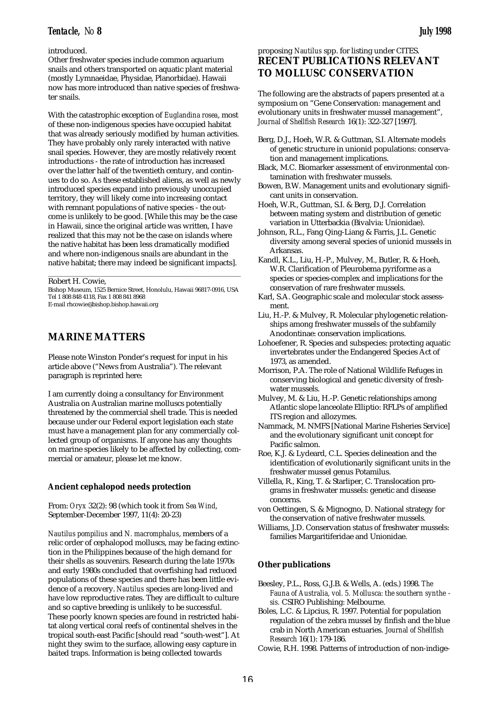# introduced.

Other freshwater species include common aquarium snails and others transported on aquatic plant material (mostly Lymnaeidae, Physidae, Planorbidae). Hawaii now has more introduced than native species of freshwater snails.

With the catastrophic exception of *Euglandina rosea*, most of these non-indigenous species have occupied habitat that was already seriously modified by human activities. They have probably only rarely interacted with native snail species. However, they are mostly relatively recent introductions - the rate of introduction has increased over the latter half of the twentieth century, and continues to do so. As these established aliens, as well as newly introduced species expand into previously unoccupied territory, they will likely come into increasing contact with remnant populations of native species - the outcome is unlikely to be good. [While this may be the case in Hawaii, since the original article was written, I have realized that this may not be the case on islands where the native habitat has been less dramatically modified and where non-indigenous snails are abundant in the native habitat; there may indeed be significant impacts].

Robert H. Cowie,

Bishop Museum, 1525 Bernice Street, Honolulu, Hawaii 96817-0916, USA Tel 1 808 848 4118, Fax 1 808 841 8968 E-mail rhcowie@bishop.bishop.hawaii.org

\_\_\_\_\_\_\_\_\_\_\_\_\_\_\_\_\_\_\_\_\_\_\_\_\_\_\_\_\_\_\_\_\_\_\_\_\_\_\_\_\_\_\_\_\_\_\_\_\_\_\_

# **MARINE MATTERS**

Please note Winston Ponder's request for input in his article above ("News from Australia"). The relevant paragraph is reprinted here:

I am currently doing a consultancy for Environment Australia on Australian marine molluscs potentially threatened by the commercial shell trade. This is needed because under our Federal export legislation each state must have a management plan for any commercially collected group of organisms. If anyone has any thoughts on marine species likely to be affected by collecting, commercial or amateur, please let me know.

# **Ancient cephalopod needs protection**

From: *Oryx* 32(2): 98 (which took it from *Sea Wind*, September-December 1997, 11(4): 20-23)

*Nautilus pompilius* and *N. macromphalus*, members of a relic order of cephalopod molluscs, may be facing extinction in the Philippines because of the high demand for their shells as souvenirs. Research during the late 1970s and early 1980s concluded that overfishing had reduced populations of these species and there has been little evidence of a recovery. *Nautilus* species are long-lived and have low reproductive rates. They are difficult to culture and so captive breeding is unlikely to be successful. These poorly known species are found in restricted habitat along vertical coral reefs of continental shelves in the tropical south-east Pacific [should read "south-west"]. At night they swim to the surface, allowing easy capture in baited traps. Information is being collected towards

# proposing *Nautilus* spp. for listing under CITES. **RECENT PUBLICATIONS RELEVANT TO MOLLUSC CONSERVATION**

The following are the abstracts of papers presented at a symposium on "Gene Conservation: management and evolutionary units in freshwater mussel management", *Journal of Shellfish Research* 16(1): 322-327 [1997].

- Berg, D.J., Hoeh, W.R. & Guttman, S.I. Alternate models of genetic structure in unionid populations: conservation and management implications.
- Black, M.C. Biomarker assessment of environmental contamination with freshwater mussels.
- Bowen, B.W. Management units and evolutionary significant units in conservation.

Hoeh, W.R., Guttman, S.I. & Berg, D.J. Correlation between mating system and distribution of genetic variation in Utterbackia (Bivalvia: Unionidae).

- Johnson, R.L., Fang Qing-Liang & Farris, J.L. Genetic diversity among several species of unionid mussels in Arkansas.
- Kandl, K.L., Liu, H.-P., Mulvey, M., Butler, R. & Hoeh, W.R. Clarification of Pleurobema pyriforme as a species or species-complex and implications for the conservation of rare freshwater mussels.
- Karl, S.A. Geographic scale and molecular stock assessment.
- Liu, H.-P. & Mulvey, R. Molecular phylogenetic relationships among freshwater mussels of the subfamily Anodontinae: conservation implications.
- Lohoefener, R. Species and subspecies: protecting aquatic invertebrates under the Endangered Species Act of 1973, as amended.
- Morrison, P.A. The role of National Wildlife Refuges in conserving biological and genetic diversity of freshwater mussels.
- Mulvey, M. & Liu, H.-P. Genetic relationships among Atlantic slope lanceolate Elliptio: RFLPs of amplified ITS region and allozymes.
- Nammack, M. NMFS [National Marine Fisheries Service] and the evolutionary significant unit concept for Pacific salmon.
- Roe, K.J. & Lydeard, C.L. Species delineation and the identification of evolutionarily significant units in the freshwater mussel genus Potamilus.
- Villella, R., King, T. & Starliper, C. Translocation programs in freshwater mussels: genetic and disease concerns.
- von Oettingen, S. & Mignogno, D. National strategy for the conservation of native freshwater mussels.
- Williams, J.D. Conservation status of freshwater mussels: families Margaritiferidae and Unionidae.

# **Other publications**

- Beesley, P.L., Ross, G.J.B. & Wells, A. (eds.) 1998. *The Fauna of Australia, vol. 5. Mollusca: the southern synthe sis.* CSIRO Publishing: Melbourne.
- Boles, L.C. & Lipcius, R. 1997. Potential for population regulation of the zebra mussel by finfish and the blue crab in North American estuaries. *Journal of Shellfish Research* 16(1): 179-186.
- Cowie, R.H. 1998. Patterns of introduction of non-indige-

16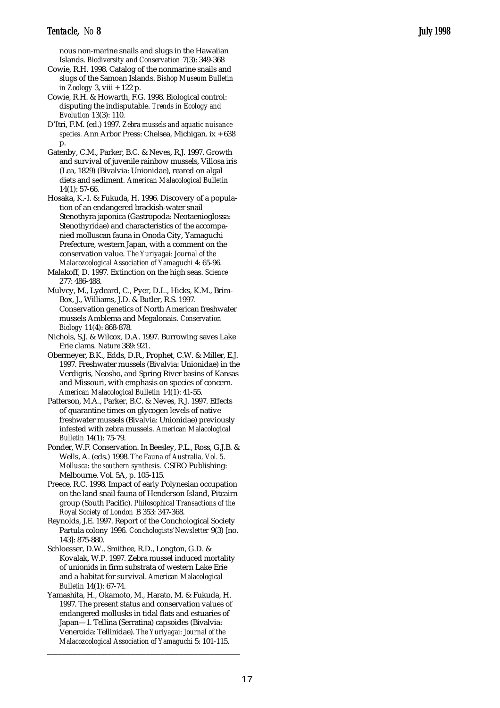nous non-marine snails and slugs in the Hawaiian Islands. *Biodiversity and Conservation* 7(3): 349-368

- Cowie, R.H. 1998. Catalog of the nonmarine snails and slugs of the Samoan Islands. *Bishop Museum Bulletin in Zoology* 3, viii + 122 p.
- Cowie, R.H. & Howarth, F.G. 1998. Biological control: disputing the indisputable. *Trends in Ecology and Evolution* 13(3): 110.
- D'Itri, F.M. (ed.) 1997. *Zebra mussels and aquatic nuisance species.* Ann Arbor Press: Chelsea, Michigan. ix + 638 p.
- Gatenby, C.M., Parker, B.C. & Neves, R.J. 1997. Growth and survival of juvenile rainbow mussels, Villosa iris (Lea, 1829) (Bivalvia: Unionidae), reared on algal diets and sediment. *American Malacological Bulletin* 14(1): 57-66.
- Hosaka, K.-I. & Fukuda, H. 1996. Discovery of a population of an endangered brackish-water snail Stenothyra japonica (Gastropoda: Neotaenioglossa: Stenothyridae) and characteristics of the accompanied molluscan fauna in Onoda City, Yamaguchi Prefecture, western Japan, with a comment on the conservation value. *The Yuriyagai: Journal of the Malacozoological Association of Yamaguchi* 4: 65-96.
- Malakoff, D. 1997. Extinction on the high seas. *Science* 277: 486-488.
- Mulvey, M., Lydeard, C., Pyer, D.L., Hicks, K.M., Brim-Box, J., Williams, J.D. & Butler, R.S. 1997. Conservation genetics of North American freshwater mussels Amblema and Megalonais. *Conservation Biology* 11(4): 868-878.
- Nichols, S.J. & Wilcox, D.A. 1997. Burrowing saves Lake Erie clams. *Nature* 389: 921.
- Obermeyer, B.K., Edds, D.R., Prophet, C.W. & Miller, E.J. 1997. Freshwater mussels (Bivalvia: Unionidae) in the Verdigris, Neosho, and Spring River basins of Kansas and Missouri, with emphasis on species of concern. *American Malacological Bulletin* 14(1): 41-55.
- Patterson, M.A., Parker, B.C. & Neves, R.J. 1997. Effects of quarantine times on glycogen levels of native freshwater mussels (Bivalvia: Unionidae) previously infested with zebra mussels. *American Malacological Bulletin* 14(1): 75-79.
- Ponder, W.F. Conservation. In Beesley, P.L., Ross, G.J.B. & Wells, A. (eds.) 1998. *The Fauna of Australia, Vol. 5. Mollusca: the southern synthesis.* CSIRO Publishing: Melbourne. Vol. 5A, p. 105-115.
- Preece, R.C. 1998. Impact of early Polynesian occupation on the land snail fauna of Henderson Island, Pitcairn group (South Pacific). *Philosophical Transactions of the Royal Society of London* B 353: 347-368.
- Reynolds, J.E. 1997. Report of the Conchological Society Partula colony 1996. *Conchologists'Newsletter* 9(3) [no. 143]: 875-880.
- Schloesser, D.W., Smithee, R.D., Longton, G.D. & Kovalak, W.P. 1997. Zebra mussel induced mortality of unionids in firm substrata of western Lake Erie and a habitat for survival. *American Malacological Bulletin* 14(1): 67-74.
- Yamashita, H., Okamoto, M., Harato, M. & Fukuda, H. 1997. The present status and conservation values of endangered mollusks in tidal flats and estuaries of Japan—1. Tellina (Serratina) capsoides (Bivalvia: Veneroida: Tellinidae). *The Yuriyagai: Journal of the Malacozoological Association of Yamaguchi* 5: 101-115.

\_\_\_\_\_\_\_\_\_\_\_\_\_\_\_\_\_\_\_\_\_\_\_\_\_\_\_\_\_\_\_\_\_\_\_\_\_\_\_\_\_\_\_\_\_\_\_\_\_\_\_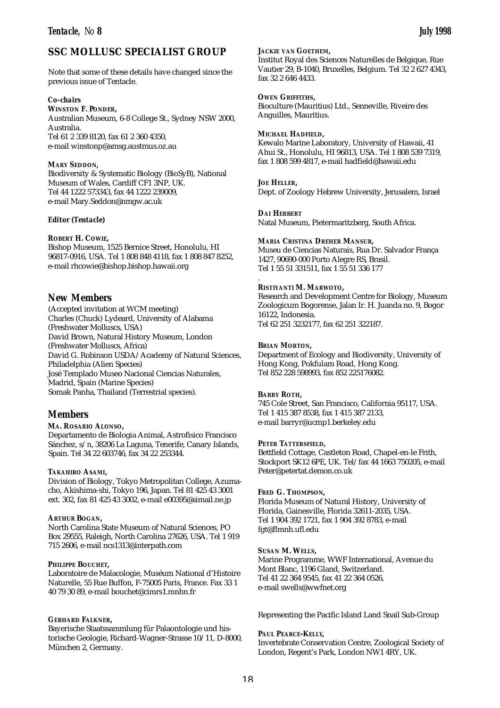# **SSC MOLLUSC SPECIALIST GROUP**

Note that some of these details have changed since the previous issue of Tentacle.

## *Co-chairs*

**WINSTON F. PONDER,** Australian Museum, 6-8 College St., Sydney NSW 2000, Australia. Tel 61 2 339 8120, fax 61 2 360 4350, e-mail winstonp@amsg.austmus.oz.au

## **MARY SEDDON,**

Biodiversity & Systematic Biology (BioSyB), National Museum of Wales, Cardiff CF1 3NP, UK. Tel 44 1222 573343, fax 44 1222 239009, e-mail Mary.Seddon@nmgw.ac.uk

### *Editor (Tentacle)*

## **ROBERT H. COWIE,**

Bishop Museum, 1525 Bernice Street, Honolulu, HI 96817-0916, USA. Tel 1 808 848 4118, fax 1 808 847 8252, e-mail rhcowie@bishop.bishop.hawaii.org

# *New Members*

(Accepted invitation at WCM meeting) Charles (Chuck) Lydeard, University of Alabama (Freshwater Molluscs, USA) David Brown, Natural History Museum, London (Freshwater Molluscs, Africa) David G. Robinson USDA/Academy of Natural Sciences, Philadelphia (Alien Species) José Templado Museo Nacional Ciencias Naturales, Madrid, Spain (Marine Species) Somak Panha, Thailand (Terrestrial species).

# *Members*

# **MA. ROSARIO ALONSO,**

Departamento de Biologia Animal, Astrofisico Francisco Sánchez, s/n, 38206 La Laguna, Tenerife, Canary Islands, Spain. Tel 34 22 603746, fax 34 22 253344.

# **TAKAHIRO ASAMI,**

Division of Biology, Tokyo Metropolitan College, Azumacho, Akishima-shi, Tokyo 196, Japan. Tel 81 425 43 3001 ext. 302, fax 81 425 43 3002, e-mail e00395@simail.ne.jp

## **ARTHUR BOGAN,**

North Carolina State Museum of Natural Sciences, PO Box 29555, Raleigh, North Carolina 27626, USA. Tel 1 919 715 2606, e-mail ncs1313@interpath.com

### **PHILIPPE BOUCHET,**

Laboratoire de Malacologie, Muséum National d'Histoire Naturelle, 55 Rue Buffon, F-75005 Paris, France. Fax 33 1 40 79 30 89, e-mail bouchet@cimrs1.mnhn.fr

### **GERHARD FALKNER,**

Bayerische Staatssammlung für Palaontologie und historische Geologie, Richard-Wagner-Strasse 10/11, D-8000, München 2, Germany.

**JACKIE VAN GOETHEM,**

Institut Royal des Sciences Naturelles de Belgique, Rue Vautier 29, B-1040, Bruxelles, Belgium. Tel 32 2 627 4343, fax 32 2 646 4433.

**OWEN GRIFFITHS,** Bioculture (Mauritius) Ltd., Senneville, Riveire des Anguilles, Mauritius.

### **MICHAEL HADFIELD,**

Kewalo Marine Laboratory, University of Hawaii, 41 Ahui St., Honolulu, HI 96813, USA. Tel 1 808 539 7319, fax 1 808 599 4817, e-mail hadfield@hawaii.edu

# **JOE HELLER,**

.

Dept. of Zoology Hebrew University, Jerusalem, Israel

**DAI HERBERT** Natal Museum, Pietermaritzberg, South Africa.

### **MARIA CRISTINA DREHER MANSUR,**

Museu de Ciencias Naturais, Rua Dr. Salvador França 1427, 90690-000 Porto Alegre RS, Brasil. Tel 1 55 51 331511, fax 1 55 51 336 177

### **RISTIYANTI M. MARWOTO,**

Research and Development Centre for Biology, Museum Zoologicum Bogorense, Jalan Ir. H. Juanda no. 9, Bogor 16122, Indonesia. Tel 62 251 3232177, fax 62 251 322187.

### **BRIAN MORTON,**

Department of Ecology and Biodiversity, University of Hong Kong, Pokfulam Road, Hong Kong. Tel 852 228 598993, fax 852 225176082.

## **BARRY ROTH,**

745 Cole Street, San Francisco, California 95117, USA. Tel 1 415 387 8538, fax 1 415 387 2133, e-mail barryr@ucmp1.berkeley.edu

### **PETER TATTERSFIELD,**

Bettfield Cottage, Castleton Road, Chapel-en-le Frith, Stockport SK12 6PE, UK. Tel/fax 44 1663 750205, e-mail Peter@petertat.demon.co.uk

### **FRED G. THOMPSON,**

Florida Museum of Natural History, University of Florida, Gainesville, Florida 32611-2035, USA. Tel 1 904 392 1721, fax 1 904 392 8783, e-mail fgt@flmnh.ufl.edu

### **SUSAN M. WELLS,**

Marine Programme, WWF International, Avenue du Mont Blanc, 1196 Gland, Switzerland. Tel 41 22 364 9545, fax 41 22 364 0526, e-mail swells@wwfnet.org

Representing the Pacific Island Land Snail Sub-Group

### **PAUL PEARCE-KELLY,**

Invertebrate Conservation Centre, Zoological Society of London, Regent's Park, London NW1 4RY, UK.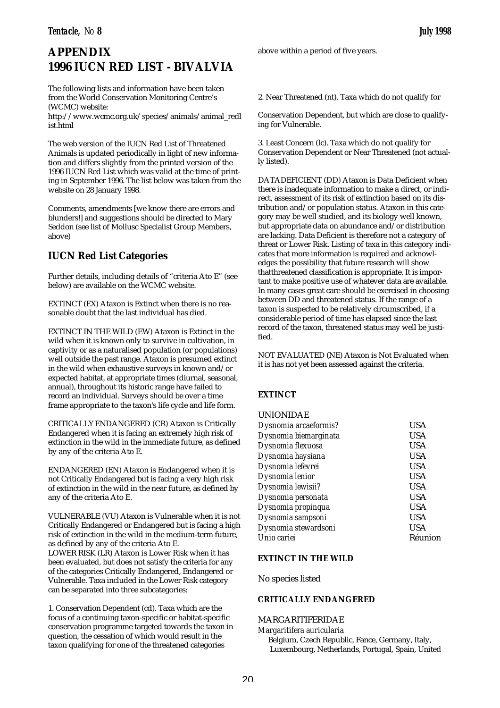# **APPENDIX 1996 IUCN RED LIST - BIVALVIA**

The following lists and information have been taken from the World Conservation Monitoring Centre's (WCMC) website:

http://www.wcmc.org.uk/species/animals/animal\_redl ist.html

The web version of the IUCN Red List of Threatened Animals is updated periodically in light of new information and differs slightly from the printed version of the 1996 IUCN Red List which was valid at the time of printing in September 1996. The list below was taken from the website on 28 January 1998.

Comments, amendments [we know there are errors and blunders!] and suggestions should be directed to Mary Seddon (see list of Mollusc Specialist Group Members, above)

# **IUCN Red List Categories**

Further details, including details of "criteria Ato E" (see below) are available on the WCMC website.

EXTINCT (EX) Ataxon is Extinct when there is no reasonable doubt that the last individual has died.

EXTINCT IN THE WILD (EW) Ataxon is Extinct in the wild when it is known only to survive in cultivation, in captivity or as a naturalised population (or populations) well outside the past range. Ataxon is presumed extinct in the wild when exhaustive surveys in known and/or expected habitat, at appropriate times (diurnal, seasonal, annual), throughout its historic range have failed to record an individual. Surveys should be over a time frame appropriate to the taxon's life cycle and life form.

CRITICALLYENDANGERED (CR) Ataxon is Critically Endangered when it is facing an extremely high risk of extinction in the wild in the immediate future, as defined by any of the criteria Ato E.

ENDANGERED (EN) Ataxon is Endangered when it is not Critically Endangered but is facing a very high risk of extinction in the wild in the near future, as defined by any of the criteria Ato E.

VULNERABLE (VU) Ataxon is Vulnerable when it is not Critically Endangered or Endangered but is facing a high risk of extinction in the wild in the medium-term future, as defined by any of the criteria Ato E. LOWER RISK (LR) Ataxon is Lower Risk when it has been evaluated, but does not satisfy the criteria for any of the categories Critically Endangered, Endangered or Vulnerable. Taxa included in the Lower Risk category can be separated into three subcategories:

1. Conservation Dependent (cd). Taxa which are the focus of a continuing taxon-specific or habitat-specific conservation programme targeted towards the taxon in question, the cessation of which would result in the taxon qualifying for one of the threatened categories

above within a period of five years.

2. Near Threatened (nt). Taxa which do not qualify for

Conservation Dependent, but which are close to qualifying for Vulnerable.

3. Least Concern (lc). Taxa which do not qualify for Conservation Dependent or Near Threatened (not actually listed).

DATADEFICIENT (DD) Ataxon is Data Deficient when there is inadequate information to make a direct, or indirect, assessment of its risk of extinction based on its distribution and/or population status. Ataxon in this category may be well studied, and its biology well known, but appropriate data on abundance and/or distribution are lacking. Data Deficient is therefore not a category of threat or Lower Risk. Listing of taxa in this category indicates that more information is required and acknowledges the possibility that future research will show thatthreatened classification is appropriate. It is important to make positive use of whatever data are available. In many cases great care should be exercised in choosing between DD and threatened status. If the range of a taxon is suspected to be relatively circumscribed, if a considerable period of time has elapsed since the last record of the taxon, threatened status may well be justified.

NOT EVALUATED (NE) Ataxon is Not Evaluated when it is has not yet been assessed against the criteria.

# **EXTINCT**

# UNIONIDAE

| Dysnomia arcaeformis? | USA        |
|-----------------------|------------|
| Dysnomia biemarginata | USA        |
| Dysnomia flexuosa     | USA        |
| Dysnomia haysiana     | <b>USA</b> |
| Dysnomia lefevrei     | <b>USA</b> |
| Dysnomia lenior       | <b>USA</b> |
| Dysnomia lewisii?     | <b>USA</b> |
| Dysnomia personata    | <b>USA</b> |
| Dysnomia propinqua    | <b>USA</b> |
| Dysnomia sampsoni     | <b>USA</b> |
| Dysnomia stewardsoni  | <b>USA</b> |
| Unio cariei           | Réunion    |
|                       |            |

# **EXTINCT IN THE WILD**

No species listed

# **CRITICALLY ENDANGERED**

# MARGARITIFERIDAE

*Margaritifera auricularia* Belgium, Czech Republic, Fance, Germany, Italy, Luxembourg, Netherlands, Portugal, Spain, United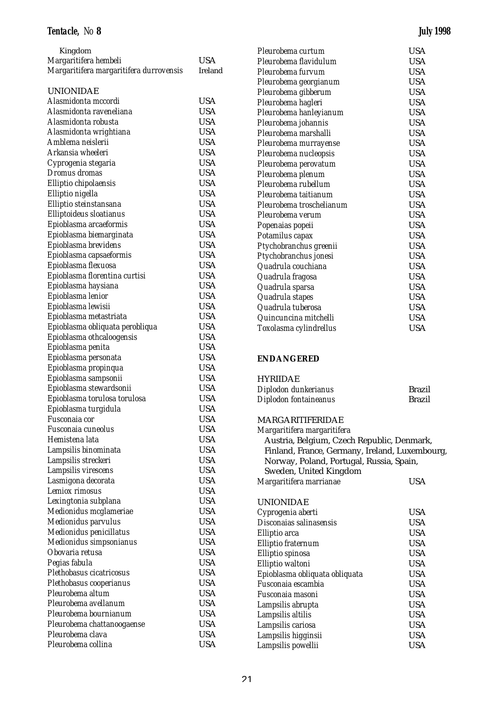| Kingdom                                 |            |
|-----------------------------------------|------------|
| Margaritifera hembeli                   | <b>USA</b> |
| Margaritifera margaritifera durrovensis | Ireland    |
|                                         |            |
| <b>UNIONIDAE</b>                        |            |
| Alasmidonta mccordi                     | <b>USA</b> |
| Alasmidonta raveneliana                 | <b>USA</b> |
| Alasmidonta robusta                     | <b>USA</b> |
| Alasmidonta wrightiana                  | <b>USA</b> |
| Amblema neislerii                       | <b>USA</b> |
| Arkansia wheeleri                       | <b>USA</b> |
| Cyprogenia stegaria                     | <b>USA</b> |
| Dromus dromas                           | <b>USA</b> |
| Elliptio chipolaensis                   | <b>USA</b> |
| Elliptio nigella                        | <b>USA</b> |
| Elliptio steinstansana                  | <b>USA</b> |
| Elliptoideus sloatianus                 | <b>USA</b> |
| Epioblasma arcaeformis                  | <b>USA</b> |
| Epioblasma biemarginata                 | <b>USA</b> |
| Epioblasma brevidens                    | <b>USA</b> |
| Epioblasma capsaeformis                 | USA        |
| Epioblasma flexuosa                     | <b>USA</b> |
| Epioblasma florentina curtisi           | <b>USA</b> |
| Epioblasma haysiana                     | <b>USA</b> |
| Epioblasma lenior                       | <b>USA</b> |
| Epioblasma lewisii                      | <b>USA</b> |
| Epioblasma metastriata                  | <b>USA</b> |
| Epioblasma obliquata perobliqua         | <b>USA</b> |
| Epioblasma othcaloogensis               | <b>USA</b> |
| Epioblasma penita                       | <b>USA</b> |
| Epioblasma personata                    | <b>USA</b> |
| Epioblasma propinqua                    | <b>USA</b> |
| Epioblasma sampsonii                    | <b>USA</b> |
| Epioblasma stewardsonii                 | <b>USA</b> |
| Epioblasma torulosa torulosa            | <b>USA</b> |
| Epioblasma turgidula                    | <b>USA</b> |
| Fusconaia cor                           | <b>USA</b> |
| Fusconaia cuneolus                      | <b>USA</b> |
| Hemistena lata                          | <b>USA</b> |
| Lampsilis binominata                    | <b>USA</b> |
| Lampsilis streckeri                     | <b>USA</b> |
| Lampsilis virescens                     | <b>USA</b> |
| Lasmigona decorata                      | <b>USA</b> |
| Lemiox rimosus                          | <b>USA</b> |
| Lexingtonia subplana                    | <b>USA</b> |
| Medionidus mcglameriae                  | <b>USA</b> |
| Medionidus parvulus                     | <b>USA</b> |
| Medionidus penicillatus                 | <b>USA</b> |
| Medionidus simpsonianus                 | <b>USA</b> |
| Obovaria retusa                         | <b>USA</b> |
| Pegias fabula                           | USA        |
| Plethobasus cicatricosus                | <b>USA</b> |
| Plethobasus cooperianus                 | USA        |
| Pleurobema altum                        | <b>USA</b> |
| Pleurobema avellanum                    | USA        |
| Pleurobema bournianum                   | USA        |
| Pleurobema chattanoogaense              | USA        |
| Pleurobema clava                        | <b>USA</b> |
| Pleurobema collina                      | <b>USA</b> |

| Pleurobema curtum        | USA        |
|--------------------------|------------|
| Pleurobema flavidulum    | USA        |
| Pleurobema furvum        | <b>USA</b> |
| Pleurobema georgianum    | <b>USA</b> |
| Pleurobema gibberum      | <b>USA</b> |
| Pleurobema hagleri       | <b>USA</b> |
| Pleurobema hanleyianum   | <b>USA</b> |
| Pleurobema johannis      | <b>USA</b> |
| Pleurobema marshalli     | <b>USA</b> |
| Pleurobema murrayense    | <b>USA</b> |
| Pleurobema nucleopsis    | <b>USA</b> |
| Pleurobema perovatum     | <b>USA</b> |
| Pleurobema plenum        | <b>USA</b> |
| Pleurobema rubellum      | <b>USA</b> |
| Pleurobema taitianum     | <b>USA</b> |
| Pleurobema troschelianum | <b>USA</b> |
| Pleurobema verum         | <b>USA</b> |
| Popenaias popeii         | <b>USA</b> |
| Potamilus capax          | <b>USA</b> |
| Ptychobranchus greenii   | <b>USA</b> |
| Ptychobranchus jonesi    | <b>USA</b> |
| Quadrula couchiana       | <b>USA</b> |
| Quadrula fragosa         | <b>USA</b> |
| Quadrula sparsa          | USA        |
| Quadrula stapes          | <b>USA</b> |
| Quadrula tuberosa        | <b>USA</b> |
| Quincuncina mitchelli    | USA        |
| Toxolasma cylindrellus   | USA        |
|                          |            |

# **ENDANGERED**

# HYRIIDAE

| Diplodon dunkerianus  | <b>Brazil</b> |
|-----------------------|---------------|
| Diplodon fontaineanus | <b>Brazil</b> |

# MARGARITIFERIDAE

| Austria, Belgium, Czech Republic, Denmark,     |
|------------------------------------------------|
| Finland, France, Germany, Ireland, Luxembourg, |
| Norway, Poland, Portugal, Russia, Spain,       |
|                                                |
| USA                                            |
|                                                |
| <b>USA</b>                                     |
| USA                                            |
| <b>USA</b>                                     |
| <b>USA</b>                                     |
| <b>USA</b>                                     |
| <b>USA</b>                                     |
| <b>USA</b>                                     |
| <b>USA</b>                                     |
| <b>USA</b>                                     |
| <b>USA</b>                                     |
| <b>USA</b>                                     |
| <b>USA</b>                                     |
| USA                                            |
| USA                                            |
|                                                |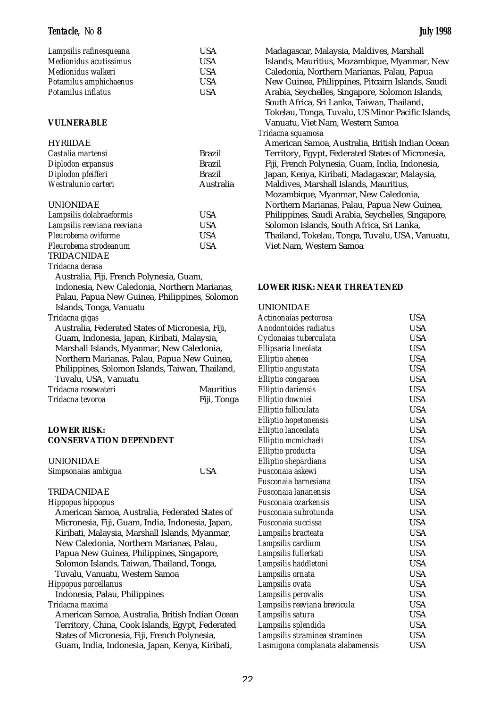| Lampsilis rafinesqueana | USA          |
|-------------------------|--------------|
| Medionidus acutissimus  | <b>USA</b>   |
| Medionidus walkeri      | <b>USA</b>   |
| Potamilus amphichaenus  | <b>USA</b>   |
| Potamilus inflatus      | <b>I</b> ISA |

# **VULNERABLE**

# HYRIIDAE

| Castalia martensi   | <b>Brazil</b> |
|---------------------|---------------|
| Diplodon expansus   | <b>Brazil</b> |
| Diplodon pfeifferi  | <b>Brazil</b> |
| Westralunio carteri | Australia     |

### UNIONIDAE

| Lampsilis dolabraeformis    | <b>USA</b> |
|-----------------------------|------------|
| Lampsilis reeviana reeviana | <b>USA</b> |
| Pleurobema oviforme         | <b>USA</b> |
| Pleurobema strodeanum       | <b>USA</b> |
| TRIDACNIDAE                 |            |

### *Tridacna derasa*

Australia, Fiji, French Polynesia, Guam, Indonesia, New Caledonia, Northern Marianas, Palau, Papua New Guinea, Philippines, Solomon Islands, Tonga, Vanuatu

*Tridacna gigas* 

Australia, Federated States of Micronesia, Fiji, Guam, Indonesia, Japan, Kiribati, Malaysia, Marshall Islands, Myanmar, New Caledonia, Northern Marianas, Palau, Papua New Guinea, Philippines, Solomon Islands, Taiwan, Thailand, Tuvalu, USA, Vanuatu

| Tridacna rosewateri | <b>Mauritius</b> |
|---------------------|------------------|
| Tridacna tevoroa    | Fiji, Tonga      |

# **LOWER RISK: CONSERVATION DEPENDENT**

| <b>UNIONIDAE</b>    |            |
|---------------------|------------|
| Simpsonaias ambigua | <b>USA</b> |

# TRIDACNIDAE

*Hippopus hippopus*

American Samoa, Australia, Federated States of Micronesia, Fiji, Guam, India, Indonesia, Japan, Kiribati, Malaysia, Marshall Islands, Myanmar, New Caledonia, Northern Marianas, Palau, Papua New Guinea, Philippines, Singapore, Solomon Islands, Taiwan, Thailand, Tonga, Tuvalu, Vanuatu, Western Samoa *Hippopus porcellanus* 

Indonesia, Palau, Philippines

# *Tridacna maxima*

American Samoa, Australia, British Indian Ocean Territory, China, Cook Islands, Egypt, Federated States of Micronesia, Fiji, French Polynesia, Guam, India, Indonesia, Japan, Kenya, Kiribati,

Madagascar, Malaysia, Maldives, Marshall Islands, Mauritius, Mozambique, Myanmar, New Caledonia, Northern Marianas, Palau, Papua New Guinea, Philippines, Pitcairn Islands, Saudi Arabia, Seychelles, Singapore, Solomon Islands, South Africa, Sri Lanka, Taiwan, Thailand, Tokelau, Tonga, Tuvalu, US Minor Pacific Islands, Vanuatu, Viet Nam, Western Samoa *Tridacna squamosa*  American Samoa, Australia, British Indian Ocean

Territory, Egypt, Federated States of Micronesia, Fiji, French Polynesia, Guam, India, Indonesia, Japan, Kenya, Kiribati, Madagascar, Malaysia, Maldives, Marshall Islands, Mauritius, Mozambique, Myanmar, New Caledonia, Northern Marianas, Palau, Papua New Guinea, Philippines, Saudi Arabia, Seychelles, Singapore, Solomon Islands, South Africa, Sri Lanka, Thailand, Tokelau, Tonga, Tuvalu, USA, Vanuatu, Viet Nam, Western Samoa

# **LOWER RISK: NEAR THREATENED**

### UNIONIDAE

| Actinonaias pectorosa            | <b>USA</b> |
|----------------------------------|------------|
| Anodontoides radiatus            | <b>USA</b> |
| Cyclonaias tuberculata           | <b>USA</b> |
| Ellipsaria lineolata             | <b>USA</b> |
| Elliptio ahenea                  | <b>USA</b> |
| Elliptio angustata               | <b>USA</b> |
| Elliptio congaraea               | <b>USA</b> |
| Elliptio dariensis               | <b>USA</b> |
| Elliptio downiei                 | <b>USA</b> |
| Elliptio folliculata             | <b>USA</b> |
| Elliptio hopetonensis            | <b>USA</b> |
| Elliptio lanceolata              | <b>USA</b> |
| Elliptio mcmichaeli              | <b>USA</b> |
| Elliptio producta                | <b>USA</b> |
| Elliptio shepardiana             | <b>USA</b> |
| Fusconaja askewi                 | <b>USA</b> |
| Fusconaia barnesiana             | <b>USA</b> |
| Fusconaia lananensis             | <b>USA</b> |
| Fusconaja ozarkensis             | <b>USA</b> |
| Fusconaia subrotunda             | USA        |
| Fusconaia succissa               | <b>USA</b> |
| Lampsilis bracteata              | <b>USA</b> |
| Lampsilis cardium                | <b>USA</b> |
| Lampsilis fullerkati             | <b>USA</b> |
| Lampsilis haddletoni             | <b>USA</b> |
| Lampsilis ornata                 | <b>USA</b> |
| Lampsilis ovata                  | <b>USA</b> |
| Lampsilis perovalis              | USA        |
| Lampsilis reeviana brevicula     | <b>USA</b> |
| Lampsilis satura                 | <b>USA</b> |
| Lampsilis splendida              | <b>USA</b> |
| Lampsilis straminea straminea    | <b>USA</b> |
| Lasmigona complanata alabamensis | <b>USA</b> |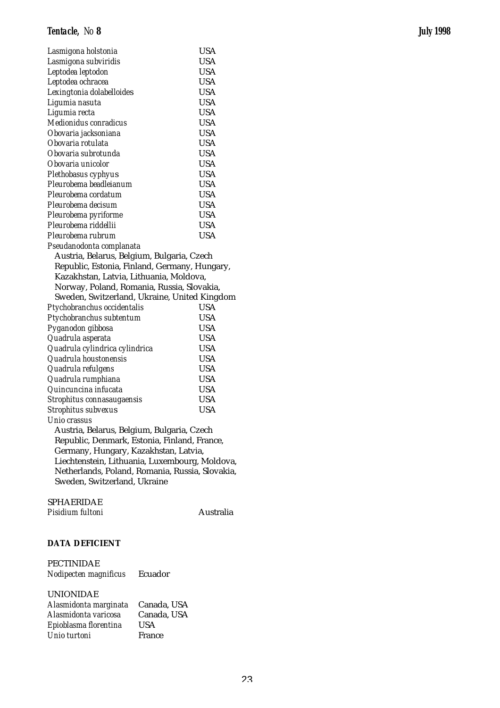| Lasmigona holstonia                            | <b>USA</b> |
|------------------------------------------------|------------|
| Lasmigona subviridis                           | <b>USA</b> |
| Leptodea leptodon                              | <b>USA</b> |
| Leptodea ochracea                              | <b>USA</b> |
| Lexingtonia dolabelloides                      | <b>USA</b> |
| Ligumia nasuta                                 | <b>USA</b> |
| Ligumia recta                                  | <b>USA</b> |
| Medionidus conradicus                          | <b>USA</b> |
| Obovaria jacksoniana                           | <b>USA</b> |
| Obovaria rotulata                              | <b>USA</b> |
| Obovaria subrotunda                            | USA        |
| Obovaria unicolor                              | <b>USA</b> |
| Plethobasus cyphyus                            | <b>USA</b> |
| Pleurobema beadleianum                         | <b>USA</b> |
| Pleurobema cordatum                            | <b>USA</b> |
| Pleurobema decisum                             | <b>USA</b> |
| Pleurobema pyriforme                           | <b>USA</b> |
| Pleurobema riddellii                           | <b>USA</b> |
| Pleurobema rubrum                              | <b>USA</b> |
| Pseudanodonta complanata                       |            |
| Austria, Belarus, Belgium, Bulgaria, Czech     |            |
| Republic, Estonia, Finland, Germany, Hungary,  |            |
| Kazakhstan, Latvia, Lithuania, Moldova,        |            |
| Norway, Poland, Romania, Russia, Slovakia,     |            |
| Sweden, Switzerland, Ukraine, United Kingdom   |            |
| Ptychobranchus occidentalis                    | <b>USA</b> |
| Ptychobranchus subtentum                       | USA        |
| Pyganodon gibbosa                              | <b>USA</b> |
| Quadrula asperata                              | <b>USA</b> |
| Quadrula cylindrica cylindrica                 | <b>USA</b> |
| Quadrula houstonensis                          | <b>USA</b> |
| Quadrula refulgens                             | USA        |
| Quadrula rumphiana                             | USA        |
| Quincuncina infucata                           | <b>USA</b> |
| Strophitus connasaugaensis                     | <b>USA</b> |
| Strophitus subvexus                            | <b>USA</b> |
| Unio crassus                                   |            |
| Austria, Belarus, Belgium, Bulgaria, Czech     |            |
| Republic, Denmark, Estonia, Finland, France,   |            |
| Germany, Hungary, Kazakhstan, Latvia,          |            |
| Liechtenstein, Lithuania, Luxembourg, Moldova, |            |

Netherlands, Poland, Romania, Russia, Slovakia, Sweden, Switzerland, Ukraine

SPHAERIDAE

Pisidium fultoni **Australia** 

# **DATA DEFICIENT**

PECTINIDAE *Nodipecten magnificus* Ecuador

# UNIONIDAE

| Alasmidonta marginata Canada, USA |               |
|-----------------------------------|---------------|
| Alasmidonta varicosa              | Canada, USA   |
| Epioblasma florentina             | <b>USA</b>    |
| Unio turtoni                      | <b>France</b> |